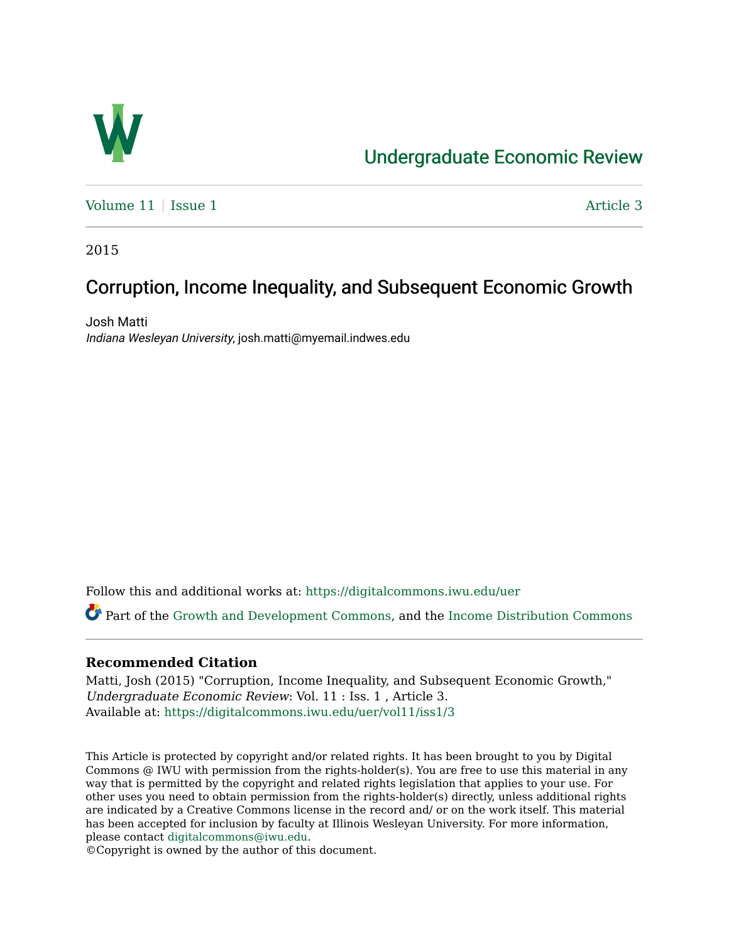

# [Undergraduate Economic Review](https://digitalcommons.iwu.edu/uer)

Volume  $11$  | [Issue 1](https://digitalcommons.iwu.edu/uer/vol11/iss1)  $\blacksquare$ 

2015

## Corruption, Income Inequality, and Subsequent Economic Growth

Josh Matti Indiana Wesleyan University, josh.matti@myemail.indwes.edu

Follow this and additional works at: [https://digitalcommons.iwu.edu/uer](https://digitalcommons.iwu.edu/uer?utm_source=digitalcommons.iwu.edu%2Fuer%2Fvol11%2Fiss1%2F3&utm_medium=PDF&utm_campaign=PDFCoverPages)

Part of the [Growth and Development Commons,](http://network.bepress.com/hgg/discipline/346?utm_source=digitalcommons.iwu.edu%2Fuer%2Fvol11%2Fiss1%2F3&utm_medium=PDF&utm_campaign=PDFCoverPages) and the [Income Distribution Commons](http://network.bepress.com/hgg/discipline/1269?utm_source=digitalcommons.iwu.edu%2Fuer%2Fvol11%2Fiss1%2F3&utm_medium=PDF&utm_campaign=PDFCoverPages)

## **Recommended Citation**

Matti, Josh (2015) "Corruption, Income Inequality, and Subsequent Economic Growth," Undergraduate Economic Review: Vol. 11 : Iss. 1 , Article 3. Available at: [https://digitalcommons.iwu.edu/uer/vol11/iss1/3](https://digitalcommons.iwu.edu/uer/vol11/iss1/3?utm_source=digitalcommons.iwu.edu%2Fuer%2Fvol11%2Fiss1%2F3&utm_medium=PDF&utm_campaign=PDFCoverPages)

This Article is protected by copyright and/or related rights. It has been brought to you by Digital Commons @ IWU with permission from the rights-holder(s). You are free to use this material in any way that is permitted by the copyright and related rights legislation that applies to your use. For other uses you need to obtain permission from the rights-holder(s) directly, unless additional rights are indicated by a Creative Commons license in the record and/ or on the work itself. This material has been accepted for inclusion by faculty at Illinois Wesleyan University. For more information, please contact [digitalcommons@iwu.edu.](mailto:digitalcommons@iwu.edu)

©Copyright is owned by the author of this document.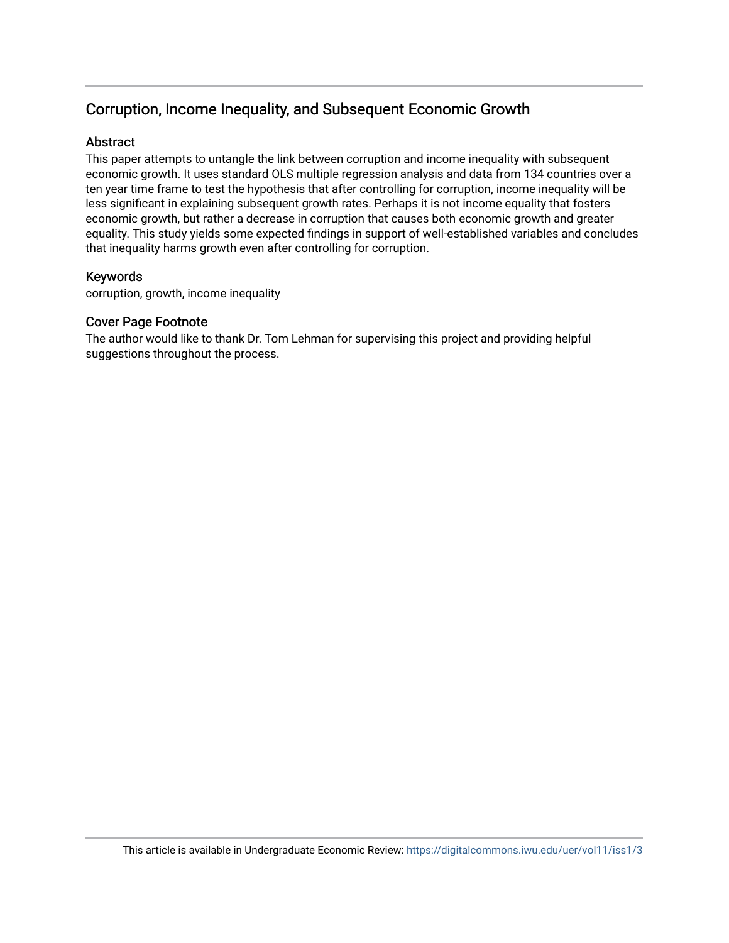## Corruption, Income Inequality, and Subsequent Economic Growth

## Abstract

This paper attempts to untangle the link between corruption and income inequality with subsequent economic growth. It uses standard OLS multiple regression analysis and data from 134 countries over a ten year time frame to test the hypothesis that after controlling for corruption, income inequality will be less significant in explaining subsequent growth rates. Perhaps it is not income equality that fosters economic growth, but rather a decrease in corruption that causes both economic growth and greater equality. This study yields some expected findings in support of well-established variables and concludes that inequality harms growth even after controlling for corruption.

## Keywords

corruption, growth, income inequality

## Cover Page Footnote

The author would like to thank Dr. Tom Lehman for supervising this project and providing helpful suggestions throughout the process.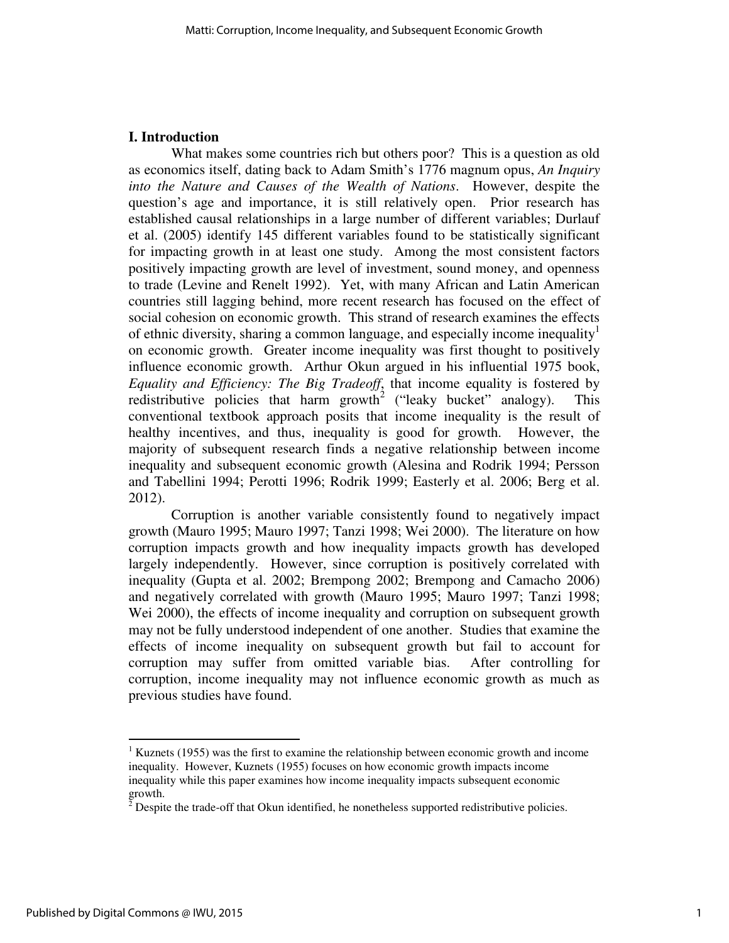## **I. Introduction**

What makes some countries rich but others poor? This is a question as old as economics itself, dating back to Adam Smith's 1776 magnum opus, *An Inquiry into the Nature and Causes of the Wealth of Nations*. However, despite the question's age and importance, it is still relatively open. Prior research has established causal relationships in a large number of different variables; Durlauf et al. (2005) identify 145 different variables found to be statistically significant for impacting growth in at least one study. Among the most consistent factors positively impacting growth are level of investment, sound money, and openness to trade (Levine and Renelt 1992). Yet, with many African and Latin American countries still lagging behind, more recent research has focused on the effect of social cohesion on economic growth. This strand of research examines the effects of ethnic diversity, sharing a common language, and especially income inequality<sup>1</sup> on economic growth. Greater income inequality was first thought to positively influence economic growth. Arthur Okun argued in his influential 1975 book, *Equality and Efficiency: The Big Tradeoff*, that income equality is fostered by redistributive policies that harm growth<sup>2</sup> ("leaky bucket" analogy). This conventional textbook approach posits that income inequality is the result of healthy incentives, and thus, inequality is good for growth. However, the majority of subsequent research finds a negative relationship between income inequality and subsequent economic growth (Alesina and Rodrik 1994; Persson and Tabellini 1994; Perotti 1996; Rodrik 1999; Easterly et al. 2006; Berg et al. 2012).

Corruption is another variable consistently found to negatively impact growth (Mauro 1995; Mauro 1997; Tanzi 1998; Wei 2000). The literature on how corruption impacts growth and how inequality impacts growth has developed largely independently. However, since corruption is positively correlated with inequality (Gupta et al. 2002; Brempong 2002; Brempong and Camacho 2006) and negatively correlated with growth (Mauro 1995; Mauro 1997; Tanzi 1998; Wei 2000), the effects of income inequality and corruption on subsequent growth may not be fully understood independent of one another. Studies that examine the effects of income inequality on subsequent growth but fail to account for corruption may suffer from omitted variable bias. After controlling for corruption, income inequality may not influence economic growth as much as previous studies have found.

 $1$  Kuznets (1955) was the first to examine the relationship between economic growth and income inequality. However, Kuznets (1955) focuses on how economic growth impacts income inequality while this paper examines how income inequality impacts subsequent economic growth.

 $2^{\delta}$  Despite the trade-off that Okun identified, he nonetheless supported redistributive policies.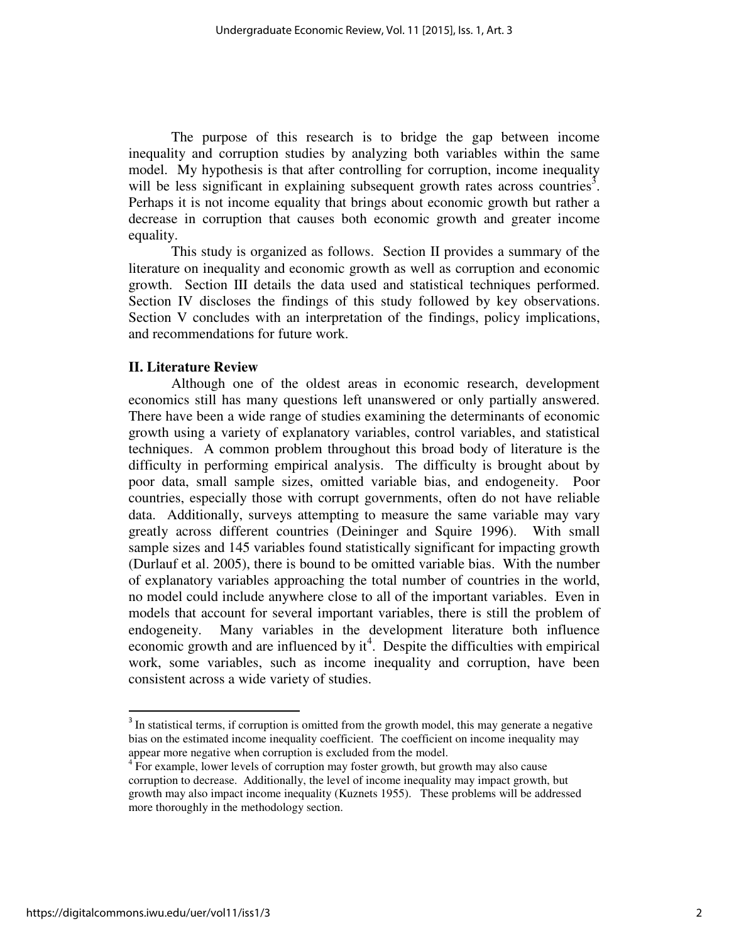The purpose of this research is to bridge the gap between income inequality and corruption studies by analyzing both variables within the same model. My hypothesis is that after controlling for corruption, income inequality will be less significant in explaining subsequent growth rates across countries<sup>3</sup>. Perhaps it is not income equality that brings about economic growth but rather a decrease in corruption that causes both economic growth and greater income equality.

This study is organized as follows. Section II provides a summary of the literature on inequality and economic growth as well as corruption and economic growth. Section III details the data used and statistical techniques performed. Section IV discloses the findings of this study followed by key observations. Section V concludes with an interpretation of the findings, policy implications, and recommendations for future work.

#### **II. Literature Review**

 Although one of the oldest areas in economic research, development economics still has many questions left unanswered or only partially answered. There have been a wide range of studies examining the determinants of economic growth using a variety of explanatory variables, control variables, and statistical techniques. A common problem throughout this broad body of literature is the difficulty in performing empirical analysis. The difficulty is brought about by poor data, small sample sizes, omitted variable bias, and endogeneity. Poor countries, especially those with corrupt governments, often do not have reliable data. Additionally, surveys attempting to measure the same variable may vary greatly across different countries (Deininger and Squire 1996). With small sample sizes and 145 variables found statistically significant for impacting growth (Durlauf et al. 2005), there is bound to be omitted variable bias. With the number of explanatory variables approaching the total number of countries in the world, no model could include anywhere close to all of the important variables. Even in models that account for several important variables, there is still the problem of endogeneity. Many variables in the development literature both influence economic growth and are influenced by  $it<sup>4</sup>$ . Despite the difficulties with empirical work, some variables, such as income inequality and corruption, have been consistent across a wide variety of studies.

 $3$  In statistical terms, if corruption is omitted from the growth model, this may generate a negative bias on the estimated income inequality coefficient. The coefficient on income inequality may appear more negative when corruption is excluded from the model.

<sup>&</sup>lt;sup>4</sup> For example, lower levels of corruption may foster growth, but growth may also cause corruption to decrease. Additionally, the level of income inequality may impact growth, but growth may also impact income inequality (Kuznets 1955). These problems will be addressed more thoroughly in the methodology section.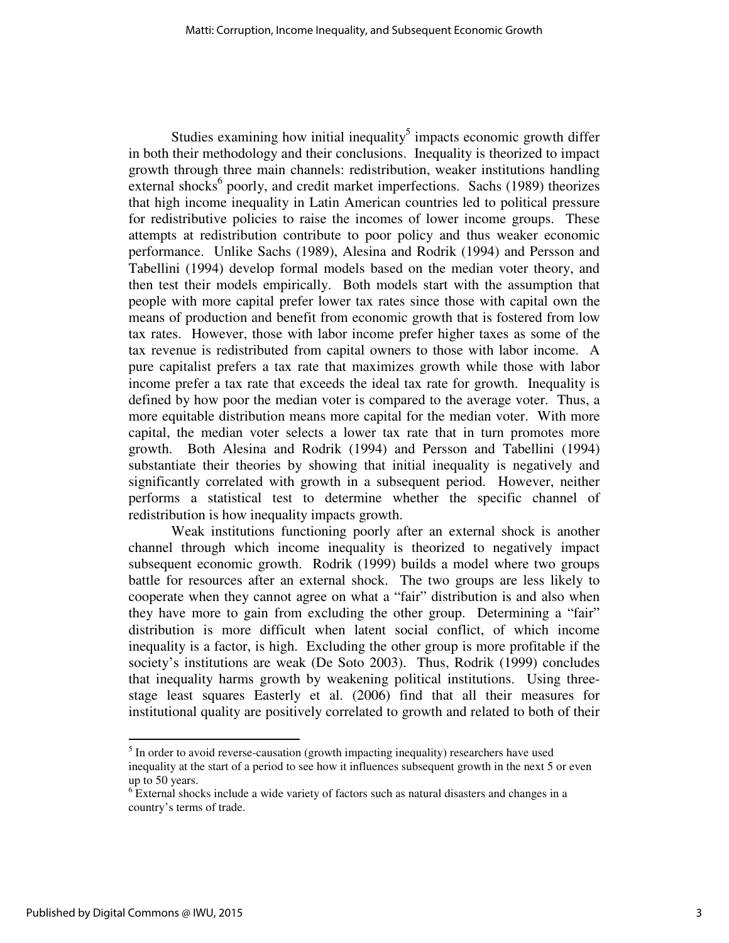Studies examining how initial inequality<sup>5</sup> impacts economic growth differ in both their methodology and their conclusions. Inequality is theorized to impact growth through three main channels: redistribution, weaker institutions handling external shocks<sup>6</sup> poorly, and credit market imperfections. Sachs (1989) theorizes that high income inequality in Latin American countries led to political pressure for redistributive policies to raise the incomes of lower income groups. These attempts at redistribution contribute to poor policy and thus weaker economic performance. Unlike Sachs (1989), Alesina and Rodrik (1994) and Persson and Tabellini (1994) develop formal models based on the median voter theory, and then test their models empirically. Both models start with the assumption that people with more capital prefer lower tax rates since those with capital own the means of production and benefit from economic growth that is fostered from low tax rates. However, those with labor income prefer higher taxes as some of the tax revenue is redistributed from capital owners to those with labor income. A pure capitalist prefers a tax rate that maximizes growth while those with labor income prefer a tax rate that exceeds the ideal tax rate for growth. Inequality is defined by how poor the median voter is compared to the average voter. Thus, a more equitable distribution means more capital for the median voter. With more capital, the median voter selects a lower tax rate that in turn promotes more growth. Both Alesina and Rodrik (1994) and Persson and Tabellini (1994) substantiate their theories by showing that initial inequality is negatively and significantly correlated with growth in a subsequent period. However, neither performs a statistical test to determine whether the specific channel of redistribution is how inequality impacts growth.

 Weak institutions functioning poorly after an external shock is another channel through which income inequality is theorized to negatively impact subsequent economic growth. Rodrik (1999) builds a model where two groups battle for resources after an external shock. The two groups are less likely to cooperate when they cannot agree on what a "fair" distribution is and also when they have more to gain from excluding the other group. Determining a "fair" distribution is more difficult when latent social conflict, of which income inequality is a factor, is high. Excluding the other group is more profitable if the society's institutions are weak (De Soto 2003). Thus, Rodrik (1999) concludes that inequality harms growth by weakening political institutions. Using threestage least squares Easterly et al. (2006) find that all their measures for institutional quality are positively correlated to growth and related to both of their

 $<sup>5</sup>$  In order to avoid reverse-causation (growth impacting inequality) researchers have used</sup> inequality at the start of a period to see how it influences subsequent growth in the next 5 or even up to 50 years.

 $6$  External shocks include a wide variety of factors such as natural disasters and changes in a country's terms of trade.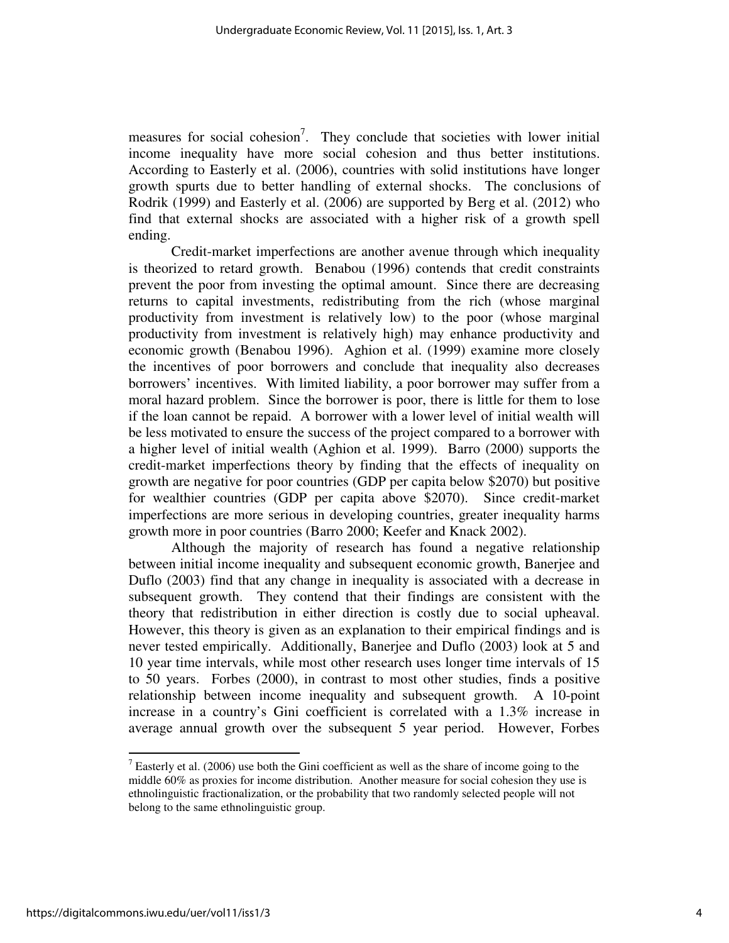measures for social cohesion<sup>7</sup>. They conclude that societies with lower initial income inequality have more social cohesion and thus better institutions. According to Easterly et al. (2006), countries with solid institutions have longer growth spurts due to better handling of external shocks. The conclusions of Rodrik (1999) and Easterly et al. (2006) are supported by Berg et al. (2012) who find that external shocks are associated with a higher risk of a growth spell ending.

 Credit-market imperfections are another avenue through which inequality is theorized to retard growth. Benabou (1996) contends that credit constraints prevent the poor from investing the optimal amount. Since there are decreasing returns to capital investments, redistributing from the rich (whose marginal productivity from investment is relatively low) to the poor (whose marginal productivity from investment is relatively high) may enhance productivity and economic growth (Benabou 1996). Aghion et al. (1999) examine more closely the incentives of poor borrowers and conclude that inequality also decreases borrowers' incentives. With limited liability, a poor borrower may suffer from a moral hazard problem. Since the borrower is poor, there is little for them to lose if the loan cannot be repaid. A borrower with a lower level of initial wealth will be less motivated to ensure the success of the project compared to a borrower with a higher level of initial wealth (Aghion et al. 1999). Barro (2000) supports the credit-market imperfections theory by finding that the effects of inequality on growth are negative for poor countries (GDP per capita below \$2070) but positive for wealthier countries (GDP per capita above \$2070). Since credit-market imperfections are more serious in developing countries, greater inequality harms growth more in poor countries (Barro 2000; Keefer and Knack 2002).

 Although the majority of research has found a negative relationship between initial income inequality and subsequent economic growth, Banerjee and Duflo (2003) find that any change in inequality is associated with a decrease in subsequent growth. They contend that their findings are consistent with the theory that redistribution in either direction is costly due to social upheaval. However, this theory is given as an explanation to their empirical findings and is never tested empirically. Additionally, Banerjee and Duflo (2003) look at 5 and 10 year time intervals, while most other research uses longer time intervals of 15 to 50 years. Forbes (2000), in contrast to most other studies, finds a positive relationship between income inequality and subsequent growth. A 10-point increase in a country's Gini coefficient is correlated with a 1.3% increase in average annual growth over the subsequent 5 year period. However, Forbes

<sup>&</sup>lt;sup>7</sup> Easterly et al. (2006) use both the Gini coefficient as well as the share of income going to the middle 60% as proxies for income distribution. Another measure for social cohesion they use is ethnolinguistic fractionalization, or the probability that two randomly selected people will not belong to the same ethnolinguistic group.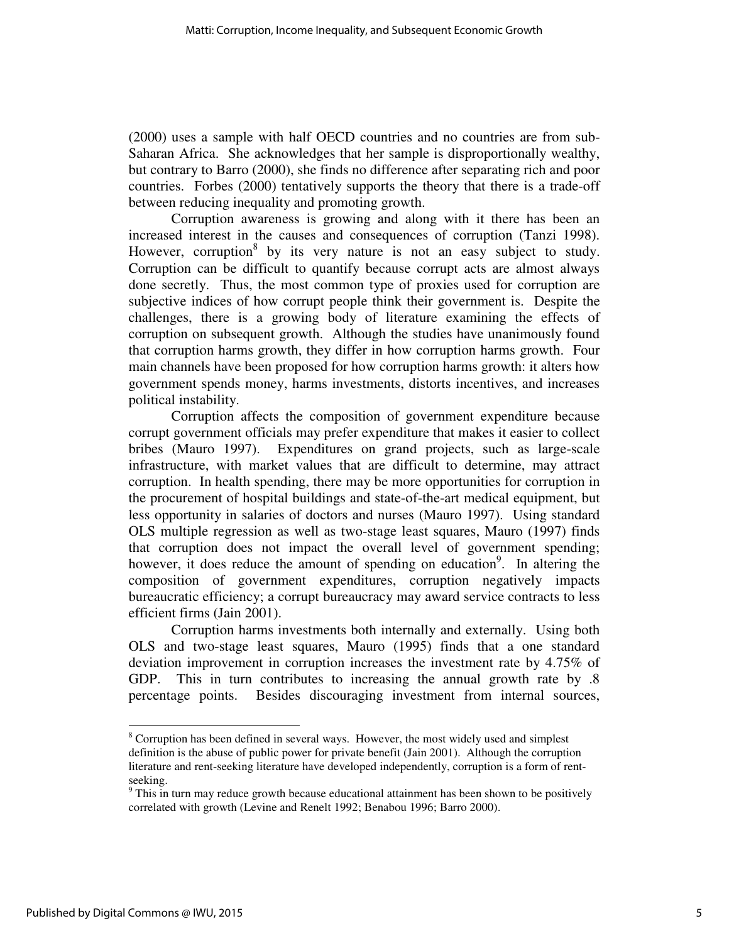(2000) uses a sample with half OECD countries and no countries are from sub-Saharan Africa. She acknowledges that her sample is disproportionally wealthy, but contrary to Barro (2000), she finds no difference after separating rich and poor countries. Forbes (2000) tentatively supports the theory that there is a trade-off between reducing inequality and promoting growth.

 Corruption awareness is growing and along with it there has been an increased interest in the causes and consequences of corruption (Tanzi 1998). However, corruption<sup>8</sup> by its very nature is not an easy subject to study. Corruption can be difficult to quantify because corrupt acts are almost always done secretly. Thus, the most common type of proxies used for corruption are subjective indices of how corrupt people think their government is. Despite the challenges, there is a growing body of literature examining the effects of corruption on subsequent growth. Although the studies have unanimously found that corruption harms growth, they differ in how corruption harms growth. Four main channels have been proposed for how corruption harms growth: it alters how government spends money, harms investments, distorts incentives, and increases political instability.

 Corruption affects the composition of government expenditure because corrupt government officials may prefer expenditure that makes it easier to collect bribes (Mauro 1997). Expenditures on grand projects, such as large-scale infrastructure, with market values that are difficult to determine, may attract corruption. In health spending, there may be more opportunities for corruption in the procurement of hospital buildings and state-of-the-art medical equipment, but less opportunity in salaries of doctors and nurses (Mauro 1997). Using standard OLS multiple regression as well as two-stage least squares, Mauro (1997) finds that corruption does not impact the overall level of government spending; however, it does reduce the amount of spending on education<sup>9</sup>. In altering the composition of government expenditures, corruption negatively impacts bureaucratic efficiency; a corrupt bureaucracy may award service contracts to less efficient firms (Jain 2001).

 Corruption harms investments both internally and externally. Using both OLS and two-stage least squares, Mauro (1995) finds that a one standard deviation improvement in corruption increases the investment rate by 4.75% of GDP. This in turn contributes to increasing the annual growth rate by .8 percentage points. Besides discouraging investment from internal sources,

<sup>&</sup>lt;sup>8</sup> Corruption has been defined in several ways. However, the most widely used and simplest definition is the abuse of public power for private benefit (Jain 2001). Although the corruption literature and rent-seeking literature have developed independently, corruption is a form of rentseeking.

 $9$  This in turn may reduce growth because educational attainment has been shown to be positively correlated with growth (Levine and Renelt 1992; Benabou 1996; Barro 2000).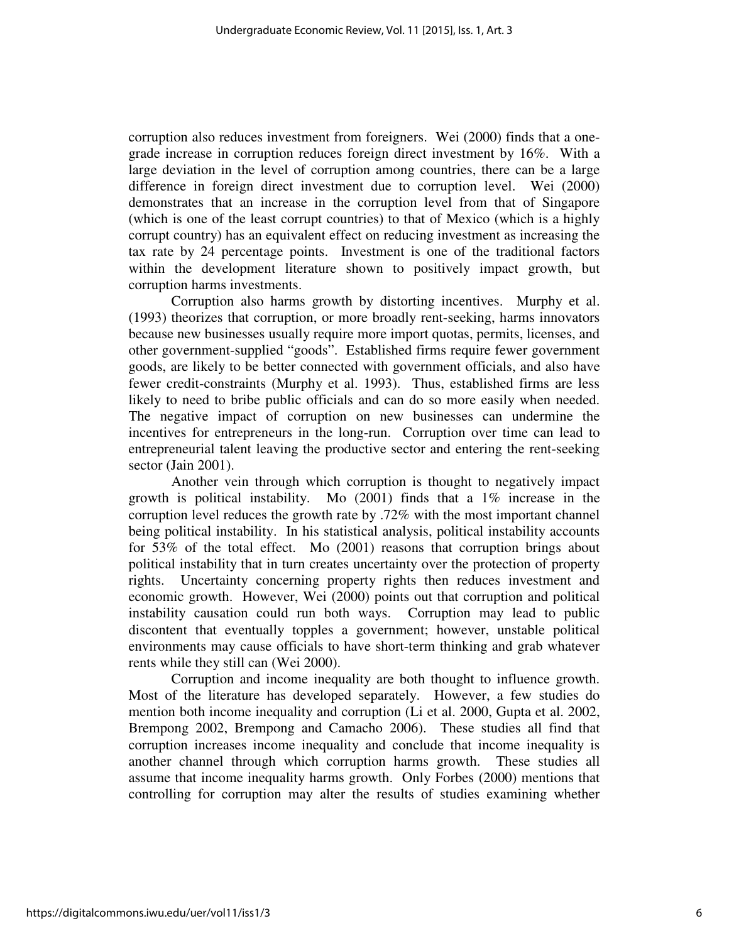corruption also reduces investment from foreigners. Wei (2000) finds that a onegrade increase in corruption reduces foreign direct investment by 16%. With a large deviation in the level of corruption among countries, there can be a large difference in foreign direct investment due to corruption level. Wei (2000) demonstrates that an increase in the corruption level from that of Singapore (which is one of the least corrupt countries) to that of Mexico (which is a highly corrupt country) has an equivalent effect on reducing investment as increasing the tax rate by 24 percentage points. Investment is one of the traditional factors within the development literature shown to positively impact growth, but corruption harms investments.

 Corruption also harms growth by distorting incentives. Murphy et al. (1993) theorizes that corruption, or more broadly rent-seeking, harms innovators because new businesses usually require more import quotas, permits, licenses, and other government-supplied "goods". Established firms require fewer government goods, are likely to be better connected with government officials, and also have fewer credit-constraints (Murphy et al. 1993). Thus, established firms are less likely to need to bribe public officials and can do so more easily when needed. The negative impact of corruption on new businesses can undermine the incentives for entrepreneurs in the long-run. Corruption over time can lead to entrepreneurial talent leaving the productive sector and entering the rent-seeking sector (Jain 2001).

 Another vein through which corruption is thought to negatively impact growth is political instability. Mo (2001) finds that a 1% increase in the corruption level reduces the growth rate by .72% with the most important channel being political instability. In his statistical analysis, political instability accounts for 53% of the total effect. Mo (2001) reasons that corruption brings about political instability that in turn creates uncertainty over the protection of property rights. Uncertainty concerning property rights then reduces investment and economic growth. However, Wei (2000) points out that corruption and political instability causation could run both ways. Corruption may lead to public discontent that eventually topples a government; however, unstable political environments may cause officials to have short-term thinking and grab whatever rents while they still can (Wei 2000).

 Corruption and income inequality are both thought to influence growth. Most of the literature has developed separately. However, a few studies do mention both income inequality and corruption (Li et al. 2000, Gupta et al. 2002, Brempong 2002, Brempong and Camacho 2006). These studies all find that corruption increases income inequality and conclude that income inequality is another channel through which corruption harms growth. These studies all assume that income inequality harms growth. Only Forbes (2000) mentions that controlling for corruption may alter the results of studies examining whether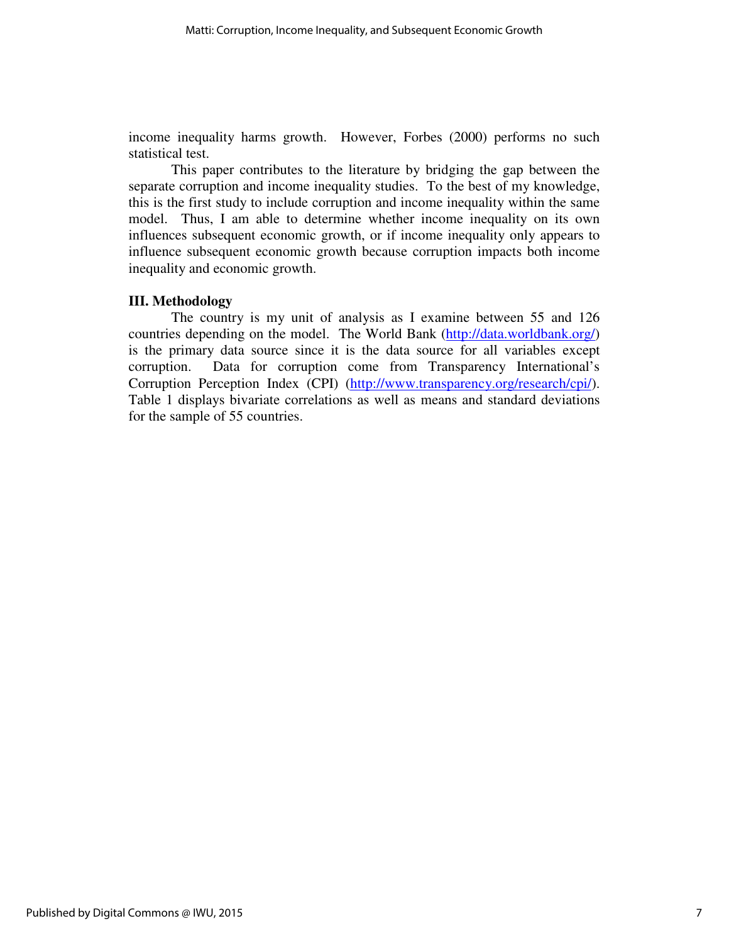income inequality harms growth. However, Forbes (2000) performs no such statistical test.

 This paper contributes to the literature by bridging the gap between the separate corruption and income inequality studies. To the best of my knowledge, this is the first study to include corruption and income inequality within the same model. Thus, I am able to determine whether income inequality on its own influences subsequent economic growth, or if income inequality only appears to influence subsequent economic growth because corruption impacts both income inequality and economic growth.

## **III. Methodology**

 The country is my unit of analysis as I examine between 55 and 126 countries depending on the model. The World Bank (http://data.worldbank.org/) is the primary data source since it is the data source for all variables except corruption. Data for corruption come from Transparency International's Corruption Perception Index (CPI) (http://www.transparency.org/research/cpi/). Table 1 displays bivariate correlations as well as means and standard deviations for the sample of 55 countries.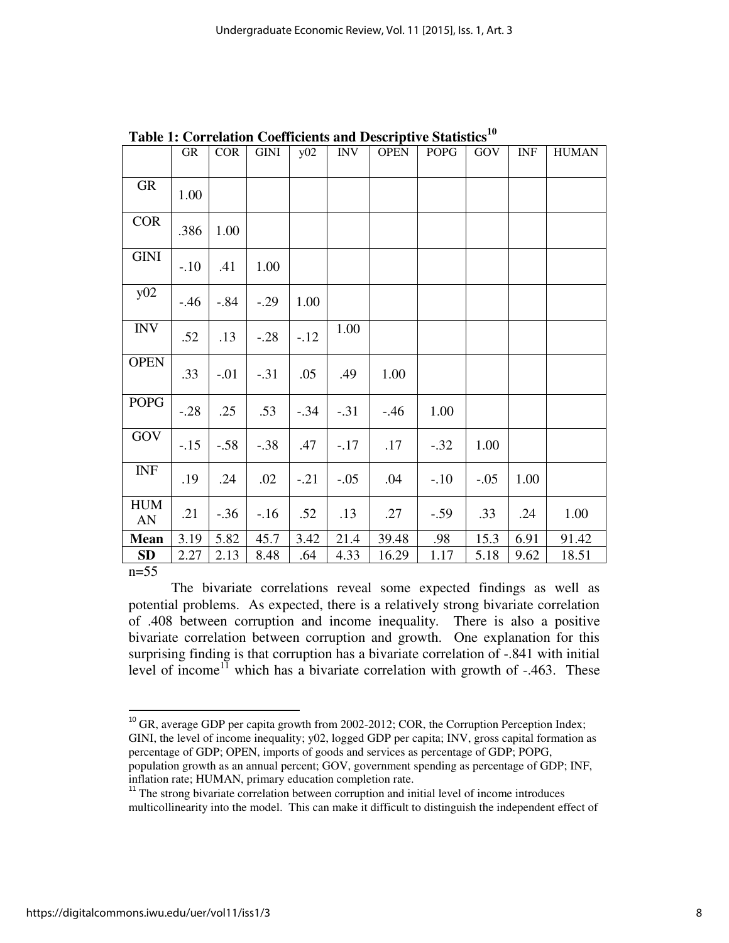|                  | GR     | <b>COR</b> | <b>GINI</b> | y02    | <b>INV</b> | <b>OPEN</b> | <b>POPG</b> | GOV    | <b>INF</b> | <b>HUMAN</b> |
|------------------|--------|------------|-------------|--------|------------|-------------|-------------|--------|------------|--------------|
| <b>GR</b>        | 1.00   |            |             |        |            |             |             |        |            |              |
| <b>COR</b>       | .386   | 1.00       |             |        |            |             |             |        |            |              |
| <b>GINI</b>      | $-.10$ | .41        | 1.00        |        |            |             |             |        |            |              |
| y02              | $-.46$ | $-.84$     | $-.29$      | 1.00   |            |             |             |        |            |              |
| <b>INV</b>       | .52    | .13        | $-.28$      | $-12$  | 1.00       |             |             |        |            |              |
| <b>OPEN</b>      | .33    | $-.01$     | $-.31$      | .05    | .49        | 1.00        |             |        |            |              |
| <b>POPG</b>      | $-.28$ | .25        | .53         | $-.34$ | $-.31$     | $-.46$      | 1.00        |        |            |              |
| GOV              | $-.15$ | $-.58$     | $-.38$      | .47    | $-.17$     | .17         | $-.32$      | 1.00   |            |              |
| <b>INF</b>       | .19    | .24        | .02         | $-.21$ | $-.05$     | .04         | $-.10$      | $-.05$ | 1.00       |              |
| <b>HUM</b><br>AN | .21    | $-.36$     | $-.16$      | .52    | .13        | .27         | $-.59$      | .33    | .24        | 1.00         |
| <b>Mean</b>      | 3.19   | 5.82       | 45.7        | 3.42   | 21.4       | 39.48       | .98         | 15.3   | 6.91       | 91.42        |
| SD<br>$m=55$     | 2.27   | 2.13       | 8.48        | .64    | 4.33       | 16.29       | 1.17        | 5.18   | 9.62       | 18.51        |

**Table 1: Correlation Coefficients and Descriptive Statistics<sup>10</sup>**

n=55

l

The bivariate correlations reveal some expected findings as well as potential problems. As expected, there is a relatively strong bivariate correlation of .408 between corruption and income inequality. There is also a positive bivariate correlation between corruption and growth. One explanation for this surprising finding is that corruption has a bivariate correlation of -.841 with initial level of income<sup>11</sup> which has a bivariate correlation with growth of  $-.463$ . These

<sup>10</sup> GR, average GDP per capita growth from 2002-2012; COR, the Corruption Perception Index; GINI, the level of income inequality;  $y02$ , logged GDP per capita; INV, gross capital formation as percentage of GDP; OPEN, imports of goods and services as percentage of GDP; POPG, population growth as an annual percent; GOV, government spending as percentage of GDP; INF, inflation rate; HUMAN, primary education completion rate.

<sup>11</sup> The strong bivariate correlation between corruption and initial level of income introduces multicollinearity into the model. This can make it difficult to distinguish the independent effect of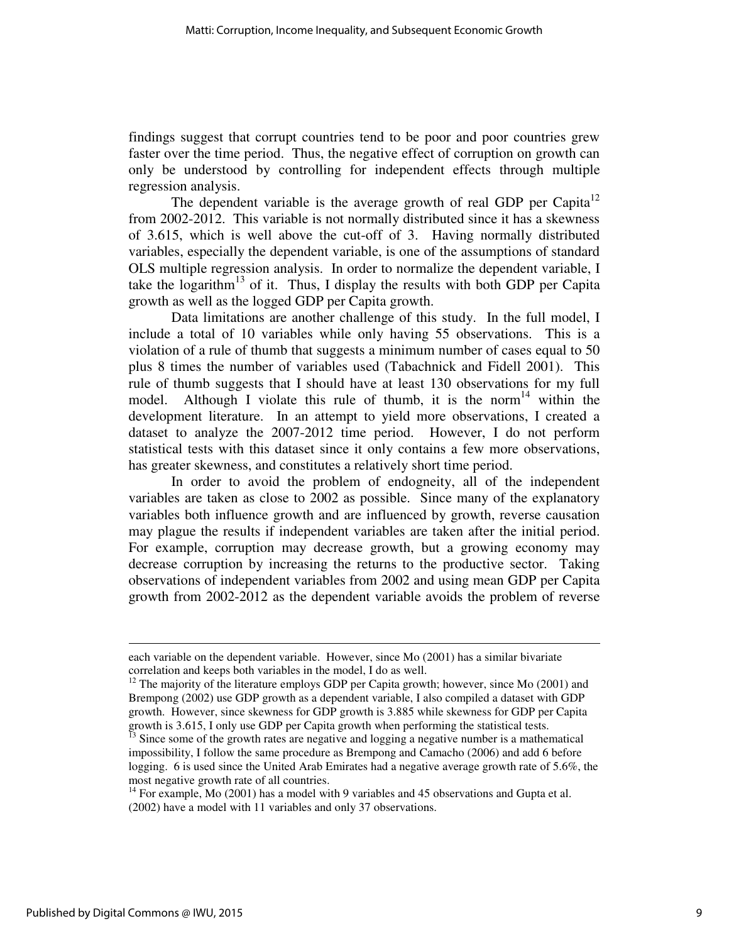findings suggest that corrupt countries tend to be poor and poor countries grew faster over the time period. Thus, the negative effect of corruption on growth can only be understood by controlling for independent effects through multiple regression analysis.

The dependent variable is the average growth of real GDP per Capita<sup>12</sup> from 2002-2012. This variable is not normally distributed since it has a skewness of 3.615, which is well above the cut-off of 3. Having normally distributed variables, especially the dependent variable, is one of the assumptions of standard OLS multiple regression analysis. In order to normalize the dependent variable, I take the logarithm<sup>13</sup> of it. Thus, I display the results with both GDP per Capita growth as well as the logged GDP per Capita growth.

Data limitations are another challenge of this study. In the full model, I include a total of 10 variables while only having 55 observations. This is a violation of a rule of thumb that suggests a minimum number of cases equal to 50 plus 8 times the number of variables used (Tabachnick and Fidell 2001). This rule of thumb suggests that I should have at least 130 observations for my full model. Although I violate this rule of thumb, it is the norm<sup>14</sup> within the development literature. In an attempt to yield more observations, I created a dataset to analyze the 2007-2012 time period. However, I do not perform statistical tests with this dataset since it only contains a few more observations, has greater skewness, and constitutes a relatively short time period.

In order to avoid the problem of endogneity, all of the independent variables are taken as close to 2002 as possible. Since many of the explanatory variables both influence growth and are influenced by growth, reverse causation may plague the results if independent variables are taken after the initial period. For example, corruption may decrease growth, but a growing economy may decrease corruption by increasing the returns to the productive sector. Taking observations of independent variables from 2002 and using mean GDP per Capita growth from 2002-2012 as the dependent variable avoids the problem of reverse

each variable on the dependent variable. However, since Mo (2001) has a similar bivariate correlation and keeps both variables in the model, I do as well.

<sup>&</sup>lt;sup>12</sup> The majority of the literature employs GDP per Capita growth; however, since Mo  $(2001)$  and Brempong (2002) use GDP growth as a dependent variable, I also compiled a dataset with GDP growth. However, since skewness for GDP growth is 3.885 while skewness for GDP per Capita growth is 3.615, I only use GDP per Capita growth when performing the statistical tests.

<sup>13</sup> Since some of the growth rates are negative and logging a negative number is a mathematical impossibility, I follow the same procedure as Brempong and Camacho (2006) and add 6 before logging. 6 is used since the United Arab Emirates had a negative average growth rate of 5.6%, the most negative growth rate of all countries.

 $14$  For example, Mo (2001) has a model with 9 variables and 45 observations and Gupta et al. (2002) have a model with 11 variables and only 37 observations.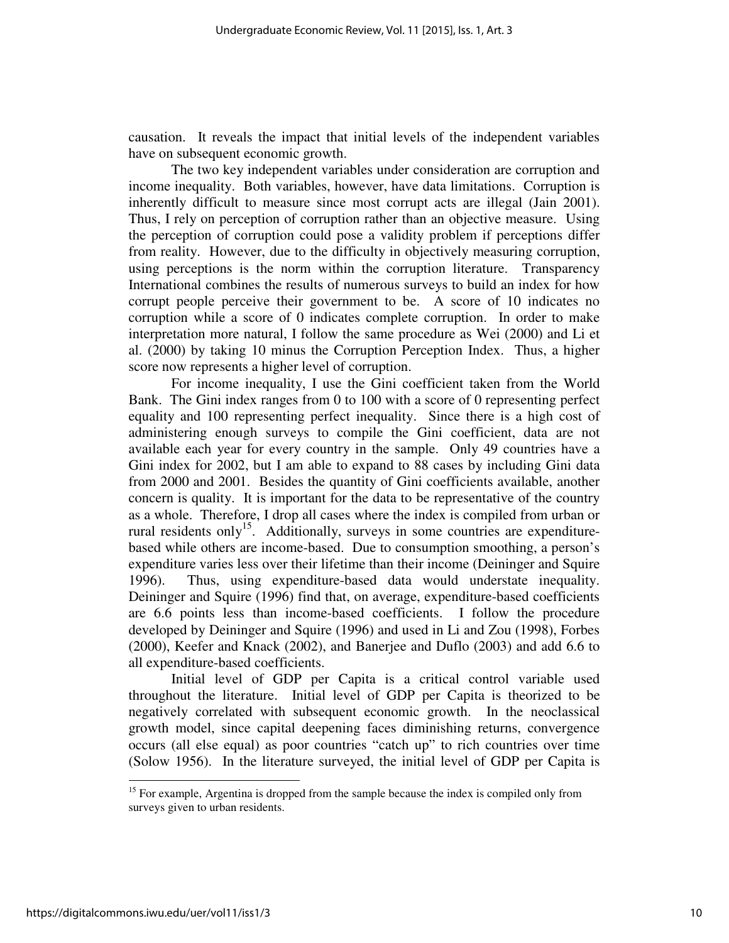causation. It reveals the impact that initial levels of the independent variables have on subsequent economic growth.

The two key independent variables under consideration are corruption and income inequality. Both variables, however, have data limitations. Corruption is inherently difficult to measure since most corrupt acts are illegal (Jain 2001). Thus, I rely on perception of corruption rather than an objective measure. Using the perception of corruption could pose a validity problem if perceptions differ from reality. However, due to the difficulty in objectively measuring corruption, using perceptions is the norm within the corruption literature. Transparency International combines the results of numerous surveys to build an index for how corrupt people perceive their government to be. A score of 10 indicates no corruption while a score of 0 indicates complete corruption. In order to make interpretation more natural, I follow the same procedure as Wei (2000) and Li et al. (2000) by taking 10 minus the Corruption Perception Index. Thus, a higher score now represents a higher level of corruption.

For income inequality, I use the Gini coefficient taken from the World Bank. The Gini index ranges from 0 to 100 with a score of 0 representing perfect equality and 100 representing perfect inequality. Since there is a high cost of administering enough surveys to compile the Gini coefficient, data are not available each year for every country in the sample. Only 49 countries have a Gini index for 2002, but I am able to expand to 88 cases by including Gini data from 2000 and 2001. Besides the quantity of Gini coefficients available, another concern is quality. It is important for the data to be representative of the country as a whole. Therefore, I drop all cases where the index is compiled from urban or rural residents only<sup>15</sup>. Additionally, surveys in some countries are expenditurebased while others are income-based. Due to consumption smoothing, a person's expenditure varies less over their lifetime than their income (Deininger and Squire 1996). Thus, using expenditure-based data would understate inequality. Deininger and Squire (1996) find that, on average, expenditure-based coefficients are 6.6 points less than income-based coefficients. I follow the procedure developed by Deininger and Squire (1996) and used in Li and Zou (1998), Forbes (2000), Keefer and Knack (2002), and Banerjee and Duflo (2003) and add 6.6 to all expenditure-based coefficients.

Initial level of GDP per Capita is a critical control variable used throughout the literature. Initial level of GDP per Capita is theorized to be negatively correlated with subsequent economic growth. In the neoclassical growth model, since capital deepening faces diminishing returns, convergence occurs (all else equal) as poor countries "catch up" to rich countries over time (Solow 1956). In the literature surveyed, the initial level of GDP per Capita is

 $15$  For example, Argentina is dropped from the sample because the index is compiled only from surveys given to urban residents.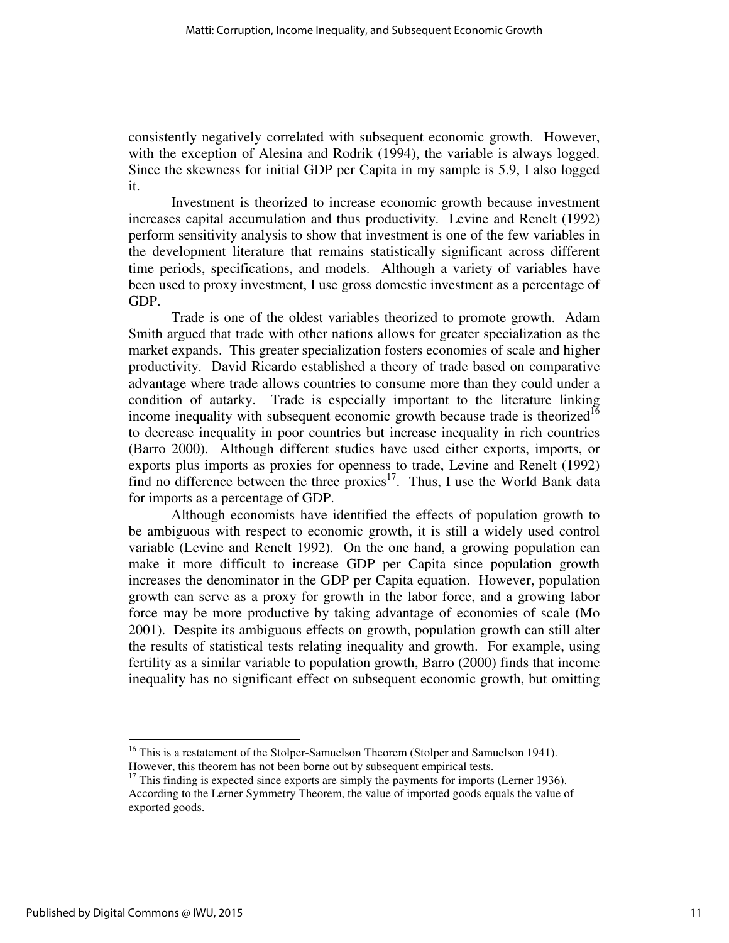consistently negatively correlated with subsequent economic growth. However, with the exception of Alesina and Rodrik (1994), the variable is always logged. Since the skewness for initial GDP per Capita in my sample is 5.9, I also logged it.

Investment is theorized to increase economic growth because investment increases capital accumulation and thus productivity. Levine and Renelt (1992) perform sensitivity analysis to show that investment is one of the few variables in the development literature that remains statistically significant across different time periods, specifications, and models. Although a variety of variables have been used to proxy investment, I use gross domestic investment as a percentage of GDP.

Trade is one of the oldest variables theorized to promote growth. Adam Smith argued that trade with other nations allows for greater specialization as the market expands. This greater specialization fosters economies of scale and higher productivity. David Ricardo established a theory of trade based on comparative advantage where trade allows countries to consume more than they could under a condition of autarky. Trade is especially important to the literature linking income inequality with subsequent economic growth because trade is theorized<sup>16</sup> to decrease inequality in poor countries but increase inequality in rich countries (Barro 2000). Although different studies have used either exports, imports, or exports plus imports as proxies for openness to trade, Levine and Renelt (1992) find no difference between the three proxies $17$ . Thus, I use the World Bank data for imports as a percentage of GDP.

Although economists have identified the effects of population growth to be ambiguous with respect to economic growth, it is still a widely used control variable (Levine and Renelt 1992). On the one hand, a growing population can make it more difficult to increase GDP per Capita since population growth increases the denominator in the GDP per Capita equation. However, population growth can serve as a proxy for growth in the labor force, and a growing labor force may be more productive by taking advantage of economies of scale (Mo 2001). Despite its ambiguous effects on growth, population growth can still alter the results of statistical tests relating inequality and growth. For example, using fertility as a similar variable to population growth, Barro (2000) finds that income inequality has no significant effect on subsequent economic growth, but omitting

<sup>&</sup>lt;sup>16</sup> This is a restatement of the Stolper-Samuelson Theorem (Stolper and Samuelson 1941). However, this theorem has not been borne out by subsequent empirical tests.

 $17$  This finding is expected since exports are simply the payments for imports (Lerner 1936). According to the Lerner Symmetry Theorem, the value of imported goods equals the value of exported goods.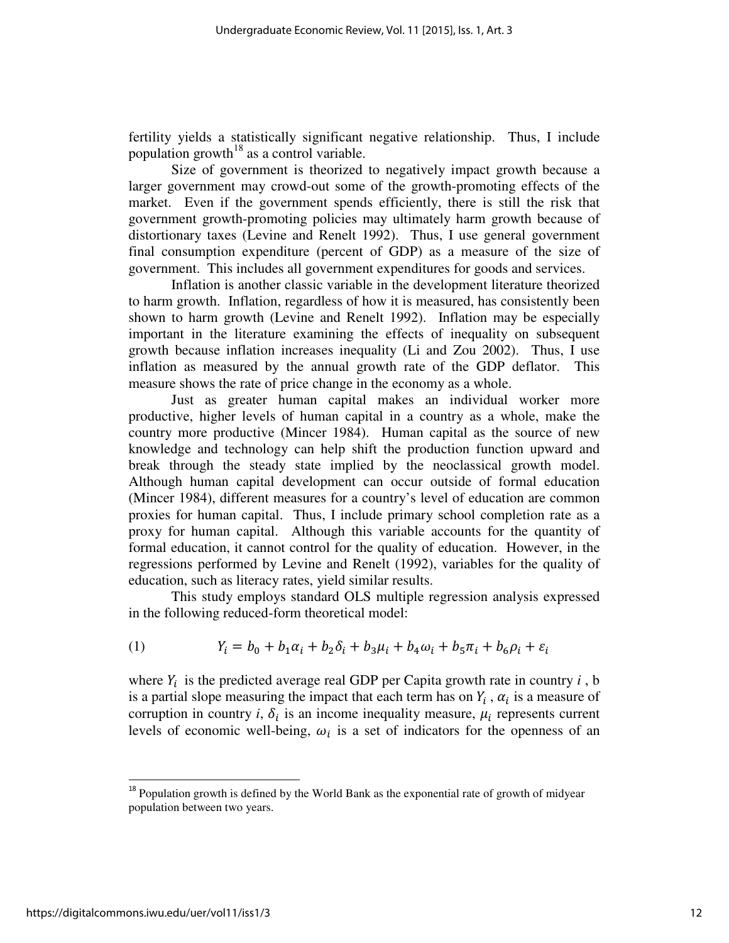fertility yields a statistically significant negative relationship. Thus, I include population growth<sup>18</sup> as a control variable.

Size of government is theorized to negatively impact growth because a larger government may crowd-out some of the growth-promoting effects of the market. Even if the government spends efficiently, there is still the risk that government growth-promoting policies may ultimately harm growth because of distortionary taxes (Levine and Renelt 1992). Thus, I use general government final consumption expenditure (percent of GDP) as a measure of the size of government. This includes all government expenditures for goods and services.

Inflation is another classic variable in the development literature theorized to harm growth. Inflation, regardless of how it is measured, has consistently been shown to harm growth (Levine and Renelt 1992). Inflation may be especially important in the literature examining the effects of inequality on subsequent growth because inflation increases inequality (Li and Zou 2002). Thus, I use inflation as measured by the annual growth rate of the GDP deflator. This measure shows the rate of price change in the economy as a whole.

Just as greater human capital makes an individual worker more productive, higher levels of human capital in a country as a whole, make the country more productive (Mincer 1984). Human capital as the source of new knowledge and technology can help shift the production function upward and break through the steady state implied by the neoclassical growth model. Although human capital development can occur outside of formal education (Mincer 1984), different measures for a country's level of education are common proxies for human capital. Thus, I include primary school completion rate as a proxy for human capital. Although this variable accounts for the quantity of formal education, it cannot control for the quality of education. However, in the regressions performed by Levine and Renelt (1992), variables for the quality of education, such as literacy rates, yield similar results.

This study employs standard OLS multiple regression analysis expressed in the following reduced-form theoretical model:

(1) 
$$
Y_i = b_0 + b_1 \alpha_i + b_2 \delta_i + b_3 \mu_i + b_4 \omega_i + b_5 \pi_i + b_6 \rho_i + \varepsilon_i
$$

where  $Y_i$  is the predicted average real GDP per Capita growth rate in country  $i$ , b is a partial slope measuring the impact that each term has on  $Y_i$ ,  $\alpha_i$  is a measure of corruption in country  $i$ ,  $\delta_i$  is an income inequality measure,  $\mu_i$  represents current levels of economic well-being,  $\omega_i$  is a set of indicators for the openness of an

<sup>&</sup>lt;sup>18</sup> Population growth is defined by the World Bank as the exponential rate of growth of midyear population between two years.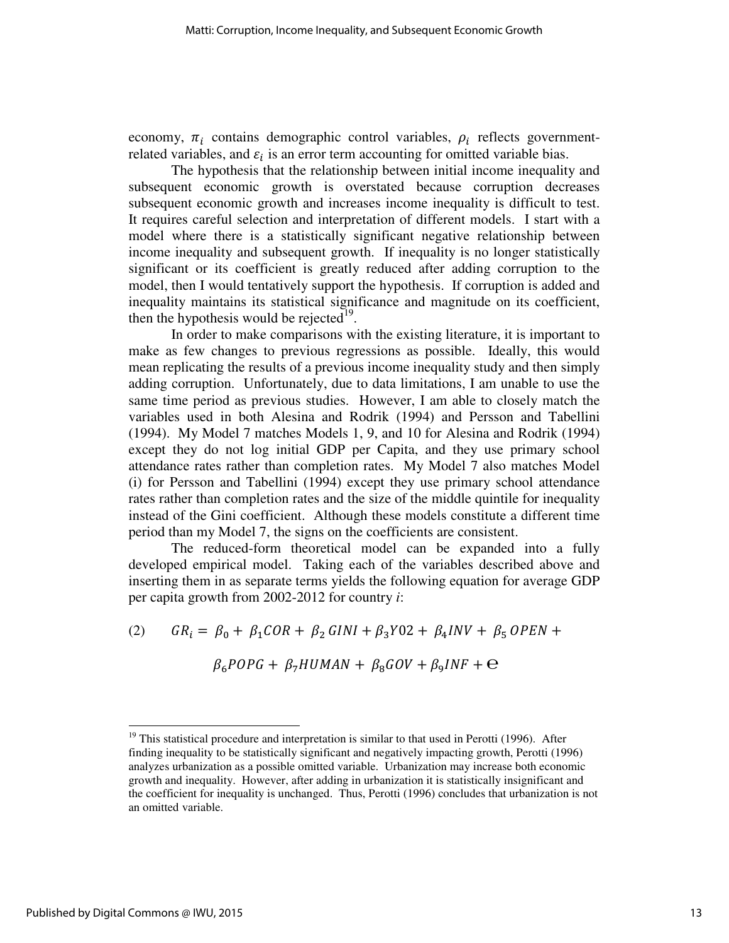economy,  $\pi_i$  contains demographic control variables,  $\rho_i$  reflects governmentrelated variables, and  $\varepsilon_i$  is an error term accounting for omitted variable bias.

 The hypothesis that the relationship between initial income inequality and subsequent economic growth is overstated because corruption decreases subsequent economic growth and increases income inequality is difficult to test. It requires careful selection and interpretation of different models. I start with a model where there is a statistically significant negative relationship between income inequality and subsequent growth. If inequality is no longer statistically significant or its coefficient is greatly reduced after adding corruption to the model, then I would tentatively support the hypothesis. If corruption is added and inequality maintains its statistical significance and magnitude on its coefficient, then the hypothesis would be rejected<sup>19</sup>.

 In order to make comparisons with the existing literature, it is important to make as few changes to previous regressions as possible. Ideally, this would mean replicating the results of a previous income inequality study and then simply adding corruption. Unfortunately, due to data limitations, I am unable to use the same time period as previous studies. However, I am able to closely match the variables used in both Alesina and Rodrik (1994) and Persson and Tabellini (1994). My Model 7 matches Models 1, 9, and 10 for Alesina and Rodrik (1994) except they do not log initial GDP per Capita, and they use primary school attendance rates rather than completion rates. My Model 7 also matches Model (i) for Persson and Tabellini (1994) except they use primary school attendance rates rather than completion rates and the size of the middle quintile for inequality instead of the Gini coefficient. Although these models constitute a different time period than my Model 7, the signs on the coefficients are consistent.

 The reduced-form theoretical model can be expanded into a fully developed empirical model. Taking each of the variables described above and inserting them in as separate terms yields the following equation for average GDP per capita growth from 2002-2012 for country *i*:

(2)  $GR_i = \beta_0 + \beta_1 COR + \beta_2 GINI + \beta_3 Y02 + \beta_4 INV + \beta_5 OPEN +$ 

 $\beta_6 POPG + \beta_7 HUMAN + \beta_8 GOV + \beta_9 INF + \Theta$ 

 $19$  This statistical procedure and interpretation is similar to that used in Perotti (1996). After finding inequality to be statistically significant and negatively impacting growth, Perotti (1996) analyzes urbanization as a possible omitted variable. Urbanization may increase both economic growth and inequality. However, after adding in urbanization it is statistically insignificant and the coefficient for inequality is unchanged. Thus, Perotti (1996) concludes that urbanization is not an omitted variable.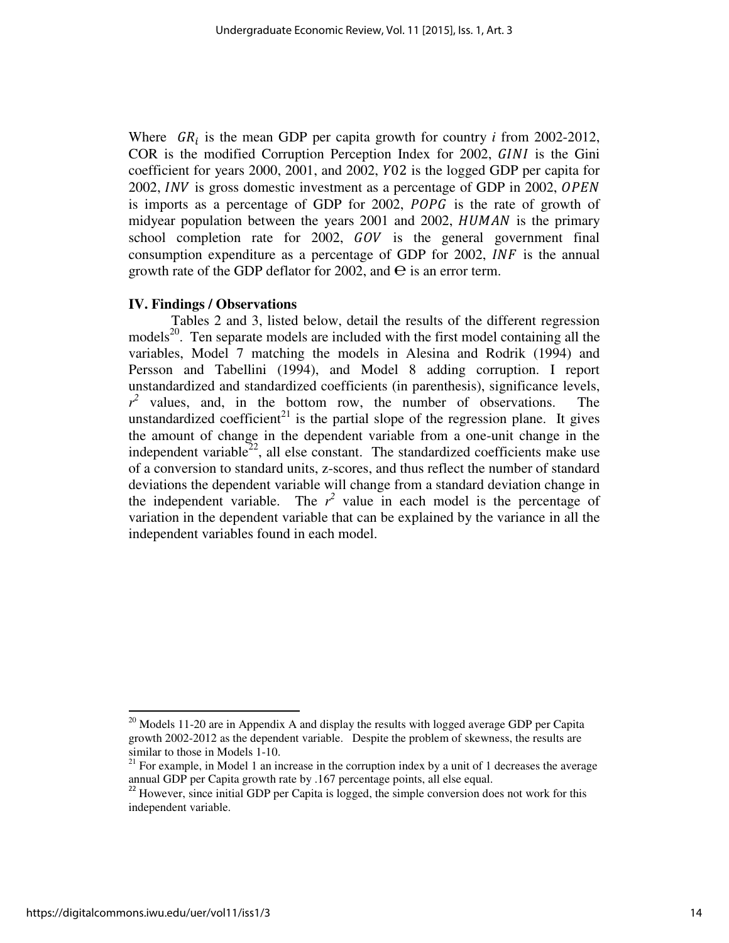Where  $GR_i$  is the mean GDP per capita growth for country *i* from 2002-2012, COR is the modified Corruption Perception Index for 2002, GINI is the Gini coefficient for years 2000, 2001, and 2002, Y02 is the logged GDP per capita for 2002, *INV* is gross domestic investment as a percentage of GDP in 2002,  $OPEN$ is imports as a percentage of GDP for 2002, *POPG* is the rate of growth of midyear population between the years  $2001$  and  $2002$ ,  $HUMAN$  is the primary school completion rate for  $2002$ ,  $GOV$  is the general government final consumption expenditure as a percentage of GDP for  $2002$ ,  $INF$  is the annual growth rate of the GDP deflator for 2002, and  $\Theta$  is an error term.

## **IV. Findings / Observations**

Tables 2 and 3, listed below, detail the results of the different regression models<sup>20</sup>. Ten separate models are included with the first model containing all the variables, Model 7 matching the models in Alesina and Rodrik (1994) and Persson and Tabellini (1994), and Model 8 adding corruption. I report unstandardized and standardized coefficients (in parenthesis), significance levels,  $r^2$  values, and, in the bottom row, the number of observations. The unstandardized coefficient<sup>21</sup> is the partial slope of the regression plane. It gives the amount of change in the dependent variable from a one-unit change in the independent variable<sup>22</sup>, all else constant. The standardized coefficients make use of a conversion to standard units, z-scores, and thus reflect the number of standard deviations the dependent variable will change from a standard deviation change in the independent variable. The  $r^2$  value in each model is the percentage of variation in the dependent variable that can be explained by the variance in all the independent variables found in each model.

 $20$  Models 11-20 are in Appendix A and display the results with logged average GDP per Capita growth 2002-2012 as the dependent variable. Despite the problem of skewness, the results are similar to those in Models 1-10.

 $21$  For example, in Model 1 an increase in the corruption index by a unit of 1 decreases the average annual GDP per Capita growth rate by .167 percentage points, all else equal.

<sup>&</sup>lt;sup>22</sup> However, since initial GDP per Capita is logged, the simple conversion does not work for this independent variable.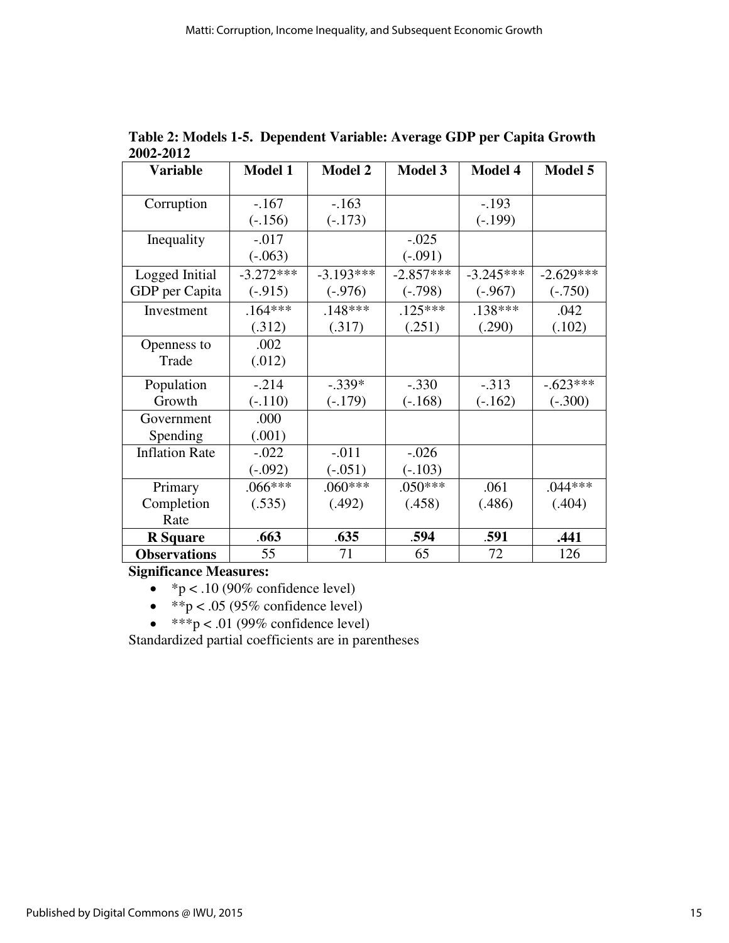| <b>Variable</b>       | <b>Model 1</b> | <b>Model 2</b> | <b>Model 3</b> | <b>Model 4</b> | <b>Model 5</b> |
|-----------------------|----------------|----------------|----------------|----------------|----------------|
| Corruption            | $-.167$        | $-163$         |                | $-.193$        |                |
|                       | $(-.156)$      | $(-.173)$      |                | $(-.199)$      |                |
| Inequality            | $-.017$        |                | $-.025$        |                |                |
|                       | $(-.063)$      |                | $(-.091)$      |                |                |
| Logged Initial        | $-3.272***$    | $-3.193***$    | $-2.857***$    | $-3.245***$    | $-2.629***$    |
| GDP per Capita        | $(-.915)$      | $(-.976)$      | $(-.798)$      | $(-.967)$      | $(-.750)$      |
| Investment            | $.164***$      | $.148***$      | $.125***$      | $.138***$      | .042           |
|                       | (.312)         | (.317)         | (.251)         | (.290)         | (.102)         |
| Openness to           | .002           |                |                |                |                |
| Trade                 | (.012)         |                |                |                |                |
| Population            | $-.214$        | $-.339*$       | $-.330$        | $-.313$        | $-.623***$     |
| Growth                | $(-.110)$      | $(-.179)$      | $(-.168)$      | $(-.162)$      | $(-.300)$      |
| Government            | .000           |                |                |                |                |
| Spending              | (.001)         |                |                |                |                |
| <b>Inflation Rate</b> | $-.022$        | $-.011$        | $-.026$        |                |                |
|                       | $(-.092)$      | $(-.051)$      | $(-.103)$      |                |                |
| Primary               | $.066***$      | $.060***$      | $.050***$      | .061           | $.044***$      |
| Completion            | (.535)         | (.492)         | (.458)         | (.486)         | (.404)         |
| Rate                  |                |                |                |                |                |
| <b>R</b> Square       | .663           | .635           | .594           | .591           | .441           |
| <b>Observations</b>   | 55             | 71             | 65             | 72             | 126            |

**Table 2: Models 1-5. Dependent Variable: Average GDP per Capita Growth 2002-2012** 

**Significance Measures:** 

- $*p < .10$  (90% confidence level)
- $*$  $p < .05$  (95% confidence level)
- $\bullet$  \*\*\*p < .01 (99% confidence level)

Standardized partial coefficients are in parentheses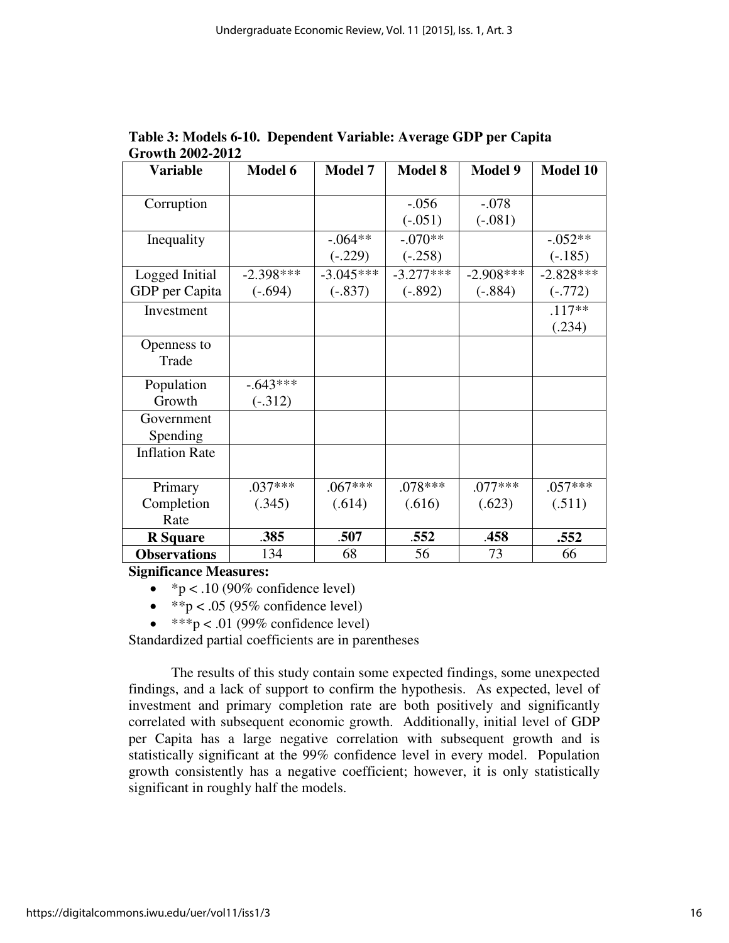| Variable              | <b>Model 6</b> | <b>Model 7</b> | <b>Model 8</b> | <b>Model 9</b> | <b>Model 10</b> |
|-----------------------|----------------|----------------|----------------|----------------|-----------------|
| Corruption            |                |                | $-.056$        | $-.078$        |                 |
|                       |                |                | $(-.051)$      | $(-.081)$      |                 |
| Inequality            |                | $-.064**$      | $-.070**$      |                | $-.052**$       |
|                       |                | $(-.229)$      | $(-.258)$      |                | $(-.185)$       |
| Logged Initial        | $-2.398***$    | $-3.045***$    | $-3.277***$    | $-2.908***$    | $-2.828***$     |
| GDP per Capita        | $(-.694)$      | $(-.837)$      | $(-.892)$      | $(-.884)$      | $(-.772)$       |
| Investment            |                |                |                |                | $.117**$        |
|                       |                |                |                |                | (.234)          |
| Openness to           |                |                |                |                |                 |
| Trade                 |                |                |                |                |                 |
| Population            | $-.643***$     |                |                |                |                 |
| Growth                | $(-.312)$      |                |                |                |                 |
| Government            |                |                |                |                |                 |
| Spending              |                |                |                |                |                 |
| <b>Inflation Rate</b> |                |                |                |                |                 |
|                       |                |                |                |                |                 |
| Primary               | $.037***$      | $.067***$      | .078***        | .077***        | $.057***$       |
| Completion            | (.345)         | (.614)         | (.616)         | (.623)         | (.511)          |
| Rate                  |                |                |                |                |                 |
| <b>R</b> Square       | .385           | .507           | .552           | .458           | .552            |
| <b>Observations</b>   | 134            | 68             | 56             | 73             | 66              |

**Table 3: Models 6-10. Dependent Variable: Average GDP per Capita Growth 2002-2012** 

**Significance Measures:** 

- $\degree$  p < .10 (90% confidence level)
- $*$  $p < .05$  (95% confidence level)
- $\bullet$  \*\*\*p < .01 (99% confidence level)

Standardized partial coefficients are in parentheses

The results of this study contain some expected findings, some unexpected findings, and a lack of support to confirm the hypothesis. As expected, level of investment and primary completion rate are both positively and significantly correlated with subsequent economic growth. Additionally, initial level of GDP per Capita has a large negative correlation with subsequent growth and is statistically significant at the 99% confidence level in every model. Population growth consistently has a negative coefficient; however, it is only statistically significant in roughly half the models.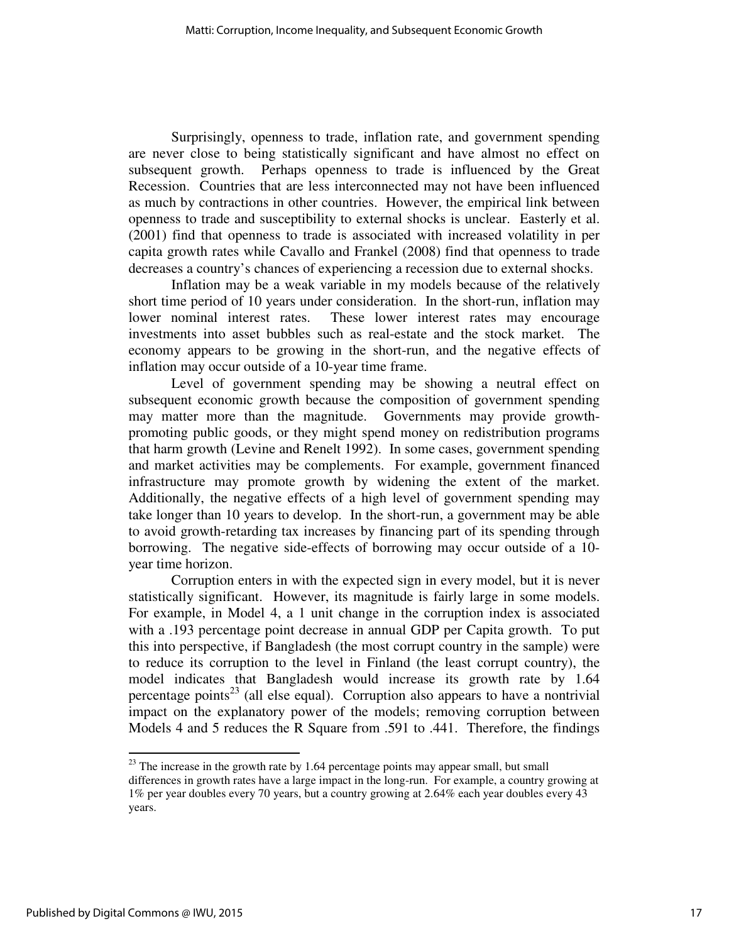Surprisingly, openness to trade, inflation rate, and government spending are never close to being statistically significant and have almost no effect on subsequent growth. Perhaps openness to trade is influenced by the Great Recession. Countries that are less interconnected may not have been influenced as much by contractions in other countries. However, the empirical link between openness to trade and susceptibility to external shocks is unclear. Easterly et al. (2001) find that openness to trade is associated with increased volatility in per capita growth rates while Cavallo and Frankel (2008) find that openness to trade decreases a country's chances of experiencing a recession due to external shocks.

Inflation may be a weak variable in my models because of the relatively short time period of 10 years under consideration. In the short-run, inflation may lower nominal interest rates. These lower interest rates may encourage investments into asset bubbles such as real-estate and the stock market. The economy appears to be growing in the short-run, and the negative effects of inflation may occur outside of a 10-year time frame.

Level of government spending may be showing a neutral effect on subsequent economic growth because the composition of government spending may matter more than the magnitude. Governments may provide growthpromoting public goods, or they might spend money on redistribution programs that harm growth (Levine and Renelt 1992). In some cases, government spending and market activities may be complements. For example, government financed infrastructure may promote growth by widening the extent of the market. Additionally, the negative effects of a high level of government spending may take longer than 10 years to develop. In the short-run, a government may be able to avoid growth-retarding tax increases by financing part of its spending through borrowing. The negative side-effects of borrowing may occur outside of a 10 year time horizon.

Corruption enters in with the expected sign in every model, but it is never statistically significant. However, its magnitude is fairly large in some models. For example, in Model 4, a 1 unit change in the corruption index is associated with a .193 percentage point decrease in annual GDP per Capita growth. To put this into perspective, if Bangladesh (the most corrupt country in the sample) were to reduce its corruption to the level in Finland (the least corrupt country), the model indicates that Bangladesh would increase its growth rate by 1.64 percentage points<sup>23</sup> (all else equal). Corruption also appears to have a nontrivial impact on the explanatory power of the models; removing corruption between Models 4 and 5 reduces the R Square from .591 to .441. Therefore, the findings

 $^{23}$  The increase in the growth rate by 1.64 percentage points may appear small, but small differences in growth rates have a large impact in the long-run. For example, a country growing at 1% per year doubles every 70 years, but a country growing at 2.64% each year doubles every 43 years.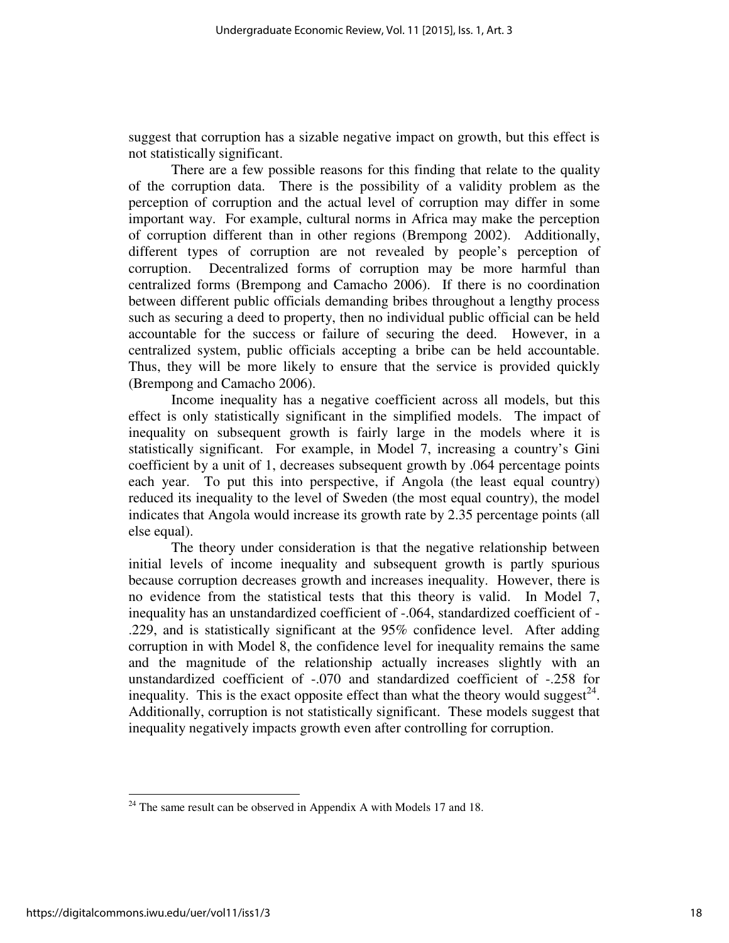suggest that corruption has a sizable negative impact on growth, but this effect is not statistically significant.

There are a few possible reasons for this finding that relate to the quality of the corruption data. There is the possibility of a validity problem as the perception of corruption and the actual level of corruption may differ in some important way. For example, cultural norms in Africa may make the perception of corruption different than in other regions (Brempong 2002). Additionally, different types of corruption are not revealed by people's perception of corruption. Decentralized forms of corruption may be more harmful than centralized forms (Brempong and Camacho 2006). If there is no coordination between different public officials demanding bribes throughout a lengthy process such as securing a deed to property, then no individual public official can be held accountable for the success or failure of securing the deed. However, in a centralized system, public officials accepting a bribe can be held accountable. Thus, they will be more likely to ensure that the service is provided quickly (Brempong and Camacho 2006).

Income inequality has a negative coefficient across all models, but this effect is only statistically significant in the simplified models. The impact of inequality on subsequent growth is fairly large in the models where it is statistically significant. For example, in Model 7, increasing a country's Gini coefficient by a unit of 1, decreases subsequent growth by .064 percentage points each year. To put this into perspective, if Angola (the least equal country) reduced its inequality to the level of Sweden (the most equal country), the model indicates that Angola would increase its growth rate by 2.35 percentage points (all else equal).

The theory under consideration is that the negative relationship between initial levels of income inequality and subsequent growth is partly spurious because corruption decreases growth and increases inequality. However, there is no evidence from the statistical tests that this theory is valid. In Model 7, inequality has an unstandardized coefficient of -.064, standardized coefficient of - .229, and is statistically significant at the 95% confidence level. After adding corruption in with Model 8, the confidence level for inequality remains the same and the magnitude of the relationship actually increases slightly with an unstandardized coefficient of -.070 and standardized coefficient of -.258 for inequality. This is the exact opposite effect than what the theory would suggest<sup>24</sup>. Additionally, corruption is not statistically significant. These models suggest that inequality negatively impacts growth even after controlling for corruption.

 $24$  The same result can be observed in Appendix A with Models 17 and 18.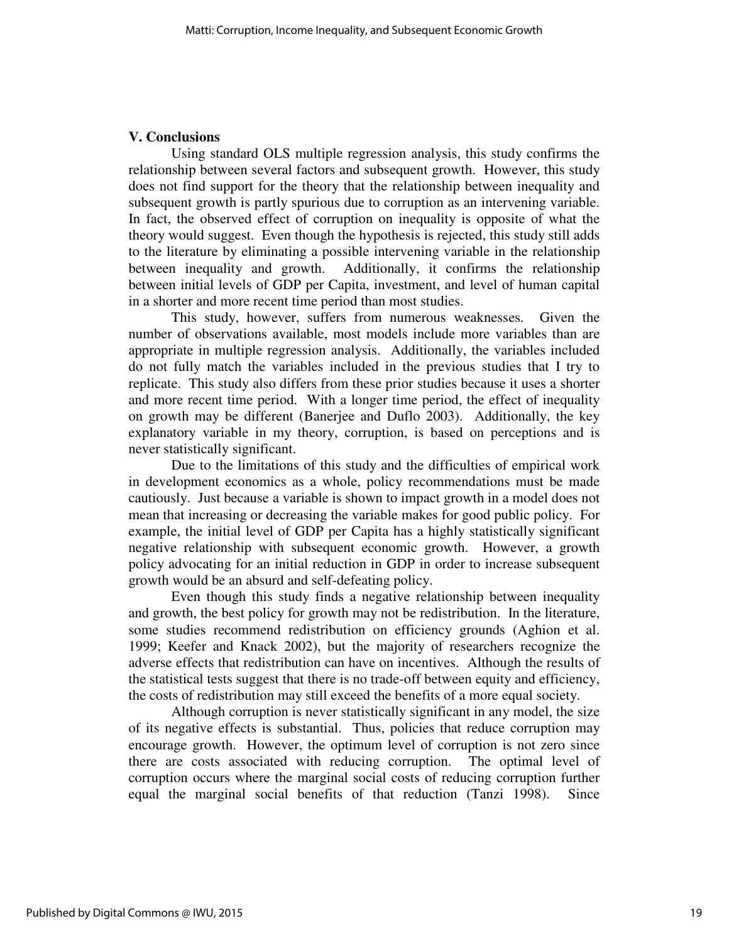## **V. Conclusions**

 Using standard OLS multiple regression analysis, this study confirms the relationship between several factors and subsequent growth. However, this study does not find support for the theory that the relationship between inequality and subsequent growth is partly spurious due to corruption as an intervening variable. In fact, the observed effect of corruption on inequality is opposite of what the theory would suggest. Even though the hypothesis is rejected, this study still adds to the literature by eliminating a possible intervening variable in the relationship between inequality and growth. Additionally, it confirms the relationship between initial levels of GDP per Capita, investment, and level of human capital in a shorter and more recent time period than most studies.

 This study, however, suffers from numerous weaknesses. Given the number of observations available, most models include more variables than are appropriate in multiple regression analysis. Additionally, the variables included do not fully match the variables included in the previous studies that I try to replicate. This study also differs from these prior studies because it uses a shorter and more recent time period. With a longer time period, the effect of inequality on growth may be different (Banerjee and Duflo 2003). Additionally, the key explanatory variable in my theory, corruption, is based on perceptions and is never statistically significant.

 Due to the limitations of this study and the difficulties of empirical work in development economics as a whole, policy recommendations must be made cautiously. Just because a variable is shown to impact growth in a model does not mean that increasing or decreasing the variable makes for good public policy. For example, the initial level of GDP per Capita has a highly statistically significant negative relationship with subsequent economic growth. However, a growth policy advocating for an initial reduction in GDP in order to increase subsequent growth would be an absurd and self-defeating policy.

Even though this study finds a negative relationship between inequality and growth, the best policy for growth may not be redistribution. In the literature, some studies recommend redistribution on efficiency grounds (Aghion et al. 1999; Keefer and Knack 2002), but the majority of researchers recognize the adverse effects that redistribution can have on incentives. Although the results of the statistical tests suggest that there is no trade-off between equity and efficiency, the costs of redistribution may still exceed the benefits of a more equal society.

 Although corruption is never statistically significant in any model, the size of its negative effects is substantial. Thus, policies that reduce corruption may encourage growth. However, the optimum level of corruption is not zero since there are costs associated with reducing corruption. The optimal level of corruption occurs where the marginal social costs of reducing corruption further equal the marginal social benefits of that reduction (Tanzi 1998). Since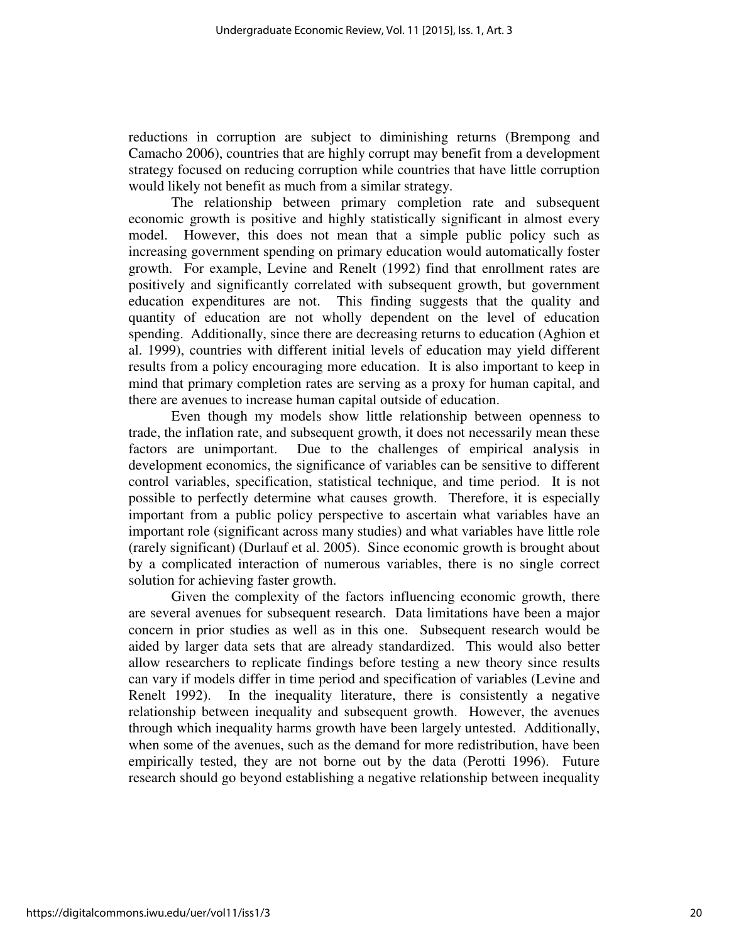reductions in corruption are subject to diminishing returns (Brempong and Camacho 2006), countries that are highly corrupt may benefit from a development strategy focused on reducing corruption while countries that have little corruption would likely not benefit as much from a similar strategy.

 The relationship between primary completion rate and subsequent economic growth is positive and highly statistically significant in almost every model. However, this does not mean that a simple public policy such as increasing government spending on primary education would automatically foster growth. For example, Levine and Renelt (1992) find that enrollment rates are positively and significantly correlated with subsequent growth, but government education expenditures are not. This finding suggests that the quality and quantity of education are not wholly dependent on the level of education spending. Additionally, since there are decreasing returns to education (Aghion et al. 1999), countries with different initial levels of education may yield different results from a policy encouraging more education. It is also important to keep in mind that primary completion rates are serving as a proxy for human capital, and there are avenues to increase human capital outside of education.

 Even though my models show little relationship between openness to trade, the inflation rate, and subsequent growth, it does not necessarily mean these factors are unimportant. Due to the challenges of empirical analysis in development economics, the significance of variables can be sensitive to different control variables, specification, statistical technique, and time period. It is not possible to perfectly determine what causes growth. Therefore, it is especially important from a public policy perspective to ascertain what variables have an important role (significant across many studies) and what variables have little role (rarely significant) (Durlauf et al. 2005). Since economic growth is brought about by a complicated interaction of numerous variables, there is no single correct solution for achieving faster growth.

 Given the complexity of the factors influencing economic growth, there are several avenues for subsequent research. Data limitations have been a major concern in prior studies as well as in this one. Subsequent research would be aided by larger data sets that are already standardized. This would also better allow researchers to replicate findings before testing a new theory since results can vary if models differ in time period and specification of variables (Levine and Renelt 1992). In the inequality literature, there is consistently a negative relationship between inequality and subsequent growth. However, the avenues through which inequality harms growth have been largely untested. Additionally, when some of the avenues, such as the demand for more redistribution, have been empirically tested, they are not borne out by the data (Perotti 1996). Future research should go beyond establishing a negative relationship between inequality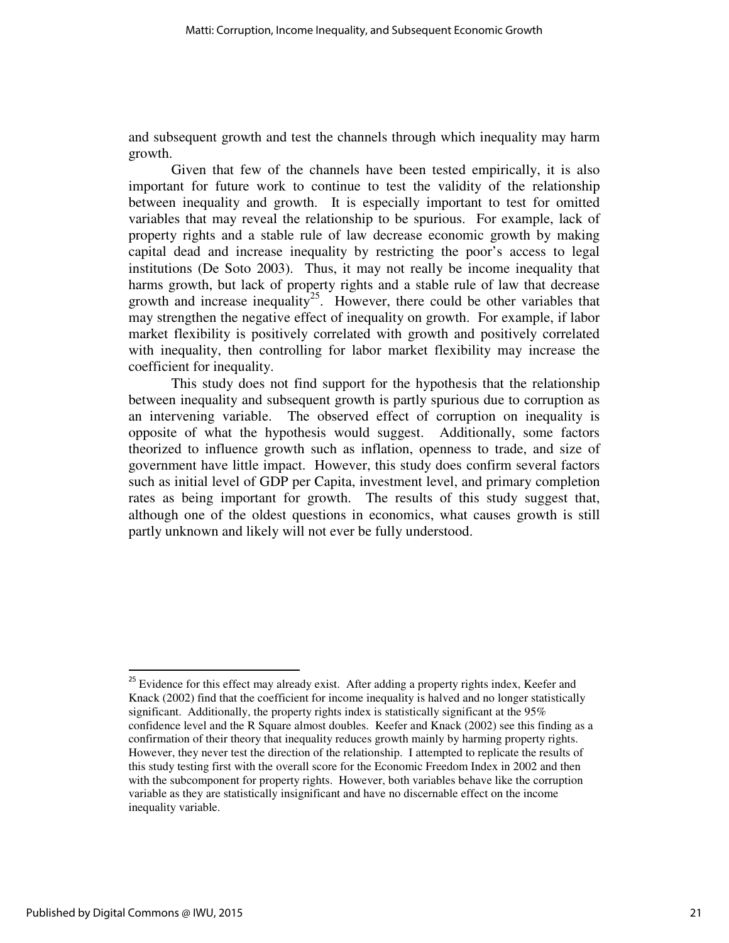and subsequent growth and test the channels through which inequality may harm growth.

 Given that few of the channels have been tested empirically, it is also important for future work to continue to test the validity of the relationship between inequality and growth. It is especially important to test for omitted variables that may reveal the relationship to be spurious. For example, lack of property rights and a stable rule of law decrease economic growth by making capital dead and increase inequality by restricting the poor's access to legal institutions (De Soto 2003). Thus, it may not really be income inequality that harms growth, but lack of property rights and a stable rule of law that decrease growth and increase inequality<sup>25</sup>. However, there could be other variables that may strengthen the negative effect of inequality on growth. For example, if labor market flexibility is positively correlated with growth and positively correlated with inequality, then controlling for labor market flexibility may increase the coefficient for inequality.

This study does not find support for the hypothesis that the relationship between inequality and subsequent growth is partly spurious due to corruption as an intervening variable. The observed effect of corruption on inequality is opposite of what the hypothesis would suggest. Additionally, some factors theorized to influence growth such as inflation, openness to trade, and size of government have little impact. However, this study does confirm several factors such as initial level of GDP per Capita, investment level, and primary completion rates as being important for growth. The results of this study suggest that, although one of the oldest questions in economics, what causes growth is still partly unknown and likely will not ever be fully understood.

<sup>&</sup>lt;sup>25</sup> Evidence for this effect may already exist. After adding a property rights index, Keefer and Knack (2002) find that the coefficient for income inequality is halved and no longer statistically significant. Additionally, the property rights index is statistically significant at the 95% confidence level and the R Square almost doubles. Keefer and Knack (2002) see this finding as a confirmation of their theory that inequality reduces growth mainly by harming property rights. However, they never test the direction of the relationship. I attempted to replicate the results of this study testing first with the overall score for the Economic Freedom Index in 2002 and then with the subcomponent for property rights. However, both variables behave like the corruption variable as they are statistically insignificant and have no discernable effect on the income inequality variable.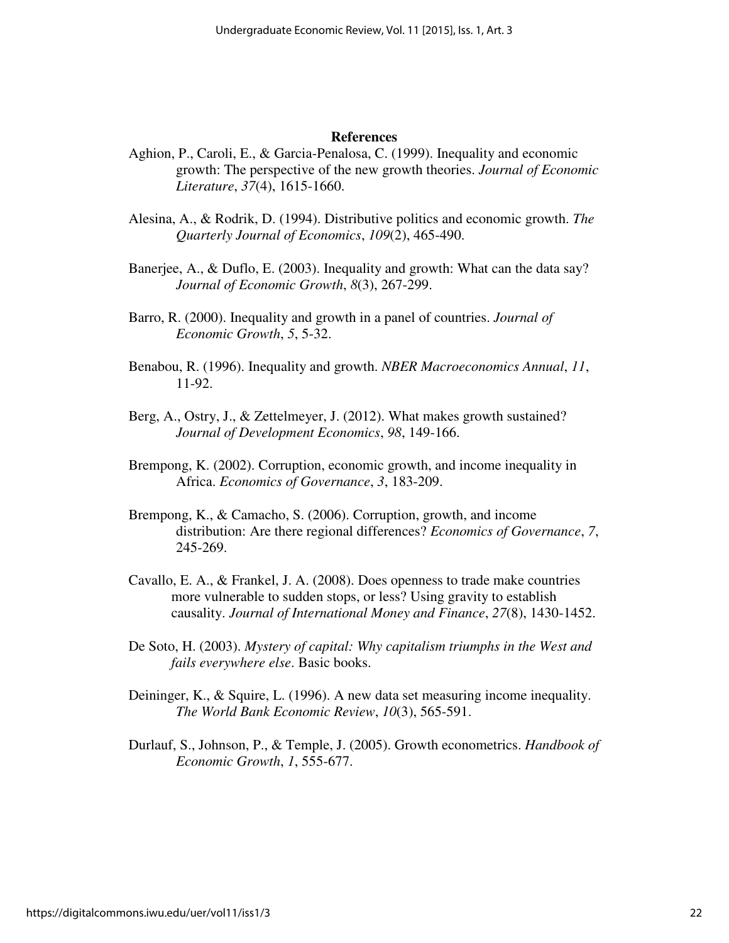#### **References**

- Aghion, P., Caroli, E., & Garcia-Penalosa, C. (1999). Inequality and economic growth: The perspective of the new growth theories. *Journal of Economic Literature*, *37*(4), 1615-1660.
- Alesina, A., & Rodrik, D. (1994). Distributive politics and economic growth. *The Quarterly Journal of Economics*, *109*(2), 465-490.
- Banerjee, A., & Duflo, E. (2003). Inequality and growth: What can the data say? *Journal of Economic Growth*, *8*(3), 267-299.
- Barro, R. (2000). Inequality and growth in a panel of countries. *Journal of Economic Growth*, *5*, 5-32.
- Benabou, R. (1996). Inequality and growth. *NBER Macroeconomics Annual*, *11*, 11-92.
- Berg, A., Ostry, J., & Zettelmeyer, J. (2012). What makes growth sustained? *Journal of Development Economics*, *98*, 149-166.
- Brempong, K. (2002). Corruption, economic growth, and income inequality in Africa. *Economics of Governance*, *3*, 183-209.
- Brempong, K., & Camacho, S. (2006). Corruption, growth, and income distribution: Are there regional differences? *Economics of Governance*, *7*, 245-269.
- Cavallo, E. A., & Frankel, J. A. (2008). Does openness to trade make countries more vulnerable to sudden stops, or less? Using gravity to establish causality. *Journal of International Money and Finance*, *27*(8), 1430-1452.
- De Soto, H. (2003). *Mystery of capital: Why capitalism triumphs in the West and fails everywhere else*. Basic books.
- Deininger, K., & Squire, L. (1996). A new data set measuring income inequality. *The World Bank Economic Review*, *10*(3), 565-591.
- Durlauf, S., Johnson, P., & Temple, J. (2005). Growth econometrics. *Handbook of Economic Growth*, *1*, 555-677.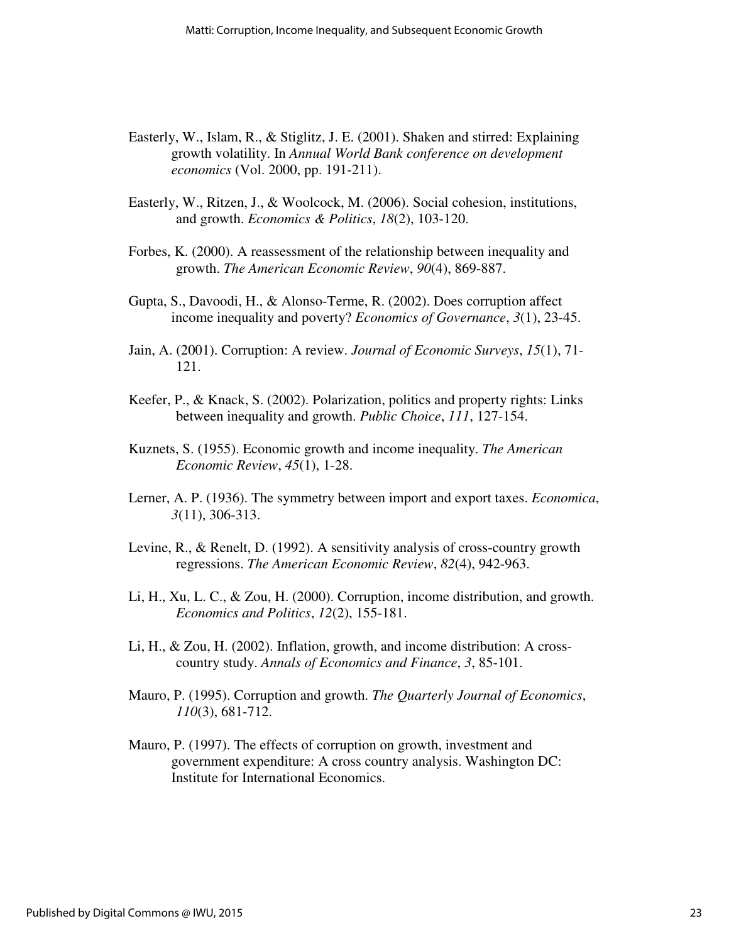- Easterly, W., Islam, R., & Stiglitz, J. E. (2001). Shaken and stirred: Explaining growth volatility. In *Annual World Bank conference on development economics* (Vol. 2000, pp. 191-211).
- Easterly, W., Ritzen, J., & Woolcock, M. (2006). Social cohesion, institutions, and growth. *Economics & Politics*, *18*(2), 103-120.
- Forbes, K. (2000). A reassessment of the relationship between inequality and growth. *The American Economic Review*, *90*(4), 869-887.
- Gupta, S., Davoodi, H., & Alonso-Terme, R. (2002). Does corruption affect income inequality and poverty? *Economics of Governance*, *3*(1), 23-45.
- Jain, A. (2001). Corruption: A review. *Journal of Economic Surveys*, *15*(1), 71- 121.
- Keefer, P., & Knack, S. (2002). Polarization, politics and property rights: Links between inequality and growth. *Public Choice*, *111*, 127-154.
- Kuznets, S. (1955). Economic growth and income inequality. *The American Economic Review*, *45*(1), 1-28.
- Lerner, A. P. (1936). The symmetry between import and export taxes. *Economica*, *3*(11), 306-313.
- Levine, R., & Renelt, D. (1992). A sensitivity analysis of cross-country growth regressions. *The American Economic Review*, *82*(4), 942-963.
- Li, H., Xu, L. C., & Zou, H. (2000). Corruption, income distribution, and growth. *Economics and Politics*, *12*(2), 155-181.
- Li, H., & Zou, H. (2002). Inflation, growth, and income distribution: A crosscountry study. *Annals of Economics and Finance*, *3*, 85-101.
- Mauro, P. (1995). Corruption and growth. *The Quarterly Journal of Economics*, *110*(3), 681-712.
- Mauro, P. (1997). The effects of corruption on growth, investment and government expenditure: A cross country analysis. Washington DC: Institute for International Economics.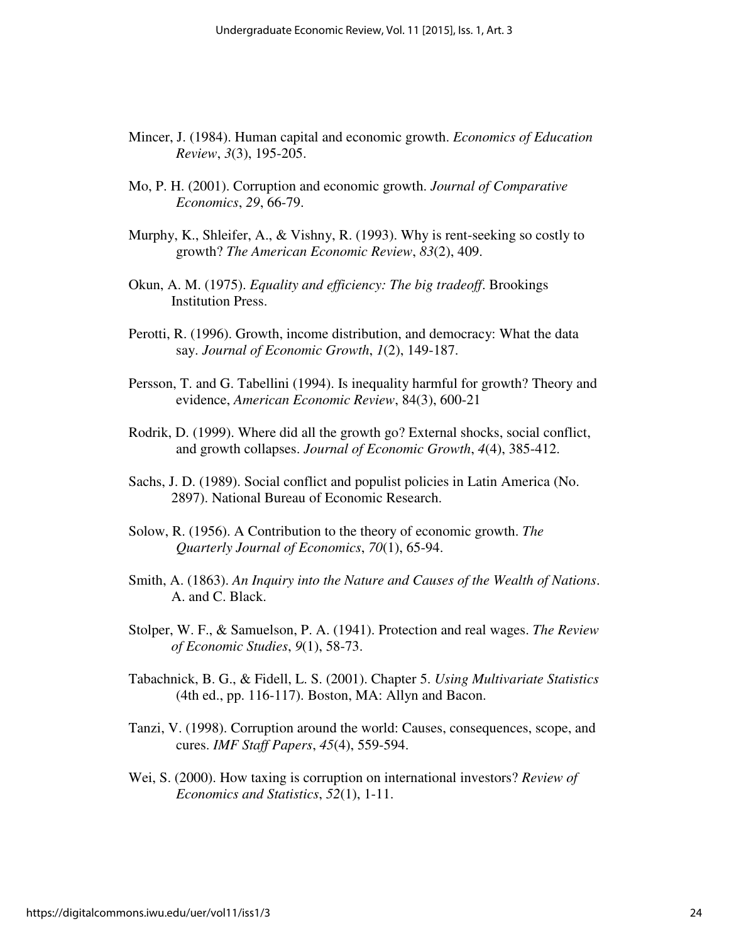- Mincer, J. (1984). Human capital and economic growth. *Economics of Education Review*, *3*(3), 195-205.
- Mo, P. H. (2001). Corruption and economic growth. *Journal of Comparative Economics*, *29*, 66-79.
- Murphy, K., Shleifer, A., & Vishny, R. (1993). Why is rent-seeking so costly to growth? *The American Economic Review*, *83*(2), 409.
- Okun, A. M. (1975). *Equality and efficiency: The big tradeoff*. Brookings Institution Press.
- Perotti, R. (1996). Growth, income distribution, and democracy: What the data say. *Journal of Economic Growth*, *1*(2), 149-187.
- Persson, T. and G. Tabellini (1994). Is inequality harmful for growth? Theory and evidence, *American Economic Review*, 84(3), 600-21
- Rodrik, D. (1999). Where did all the growth go? External shocks, social conflict, and growth collapses. *Journal of Economic Growth*, *4*(4), 385-412.
- Sachs, J. D. (1989). Social conflict and populist policies in Latin America (No. 2897). National Bureau of Economic Research.
- Solow, R. (1956). A Contribution to the theory of economic growth. *The Quarterly Journal of Economics*, *70*(1), 65-94.
- Smith, A. (1863). *An Inquiry into the Nature and Causes of the Wealth of Nations*. A. and C. Black.
- Stolper, W. F., & Samuelson, P. A. (1941). Protection and real wages. *The Review of Economic Studies*, *9*(1), 58-73.
- Tabachnick, B. G., & Fidell, L. S. (2001). Chapter 5. *Using Multivariate Statistics* (4th ed., pp. 116-117). Boston, MA: Allyn and Bacon.
- Tanzi, V. (1998). Corruption around the world: Causes, consequences, scope, and cures. *IMF Staff Papers*, *45*(4), 559-594.
- Wei, S. (2000). How taxing is corruption on international investors? *Review of Economics and Statistics*, *52*(1), 1-11.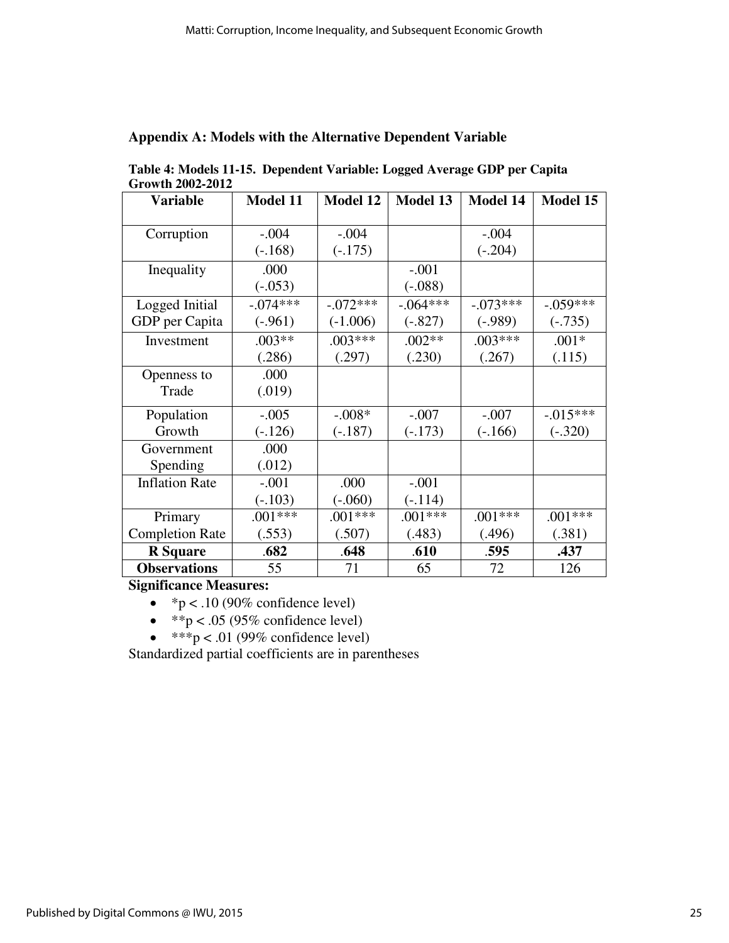| Growth 2002-2012       |                 |            |                 |                 |             |  |  |
|------------------------|-----------------|------------|-----------------|-----------------|-------------|--|--|
| <b>Variable</b>        | <b>Model 11</b> | Model 12   | <b>Model 13</b> | <b>Model 14</b> | Model 15    |  |  |
|                        |                 |            |                 |                 |             |  |  |
| Corruption             | $-.004$         | $-.004$    |                 | $-.004$         |             |  |  |
|                        | $(-.168)$       | $(-.175)$  |                 | $(-.204)$       |             |  |  |
| Inequality             | .000            |            | $-.001$         |                 |             |  |  |
|                        | $(-0.053)$      |            | $(-.088)$       |                 |             |  |  |
| Logged Initial         | $-.074***$      | $-.072***$ | $-.064***$      | $-.073***$      | $-.059***$  |  |  |
| GDP per Capita         | $(-.961)$       | $(-1.006)$ | $(-.827)$       | $(-.989)$       | $(-.735)$   |  |  |
| Investment             | $.003**$        | $.003***$  | $.002**$        | $.003***$       | $.001*$     |  |  |
|                        | (.286)          | (.297)     | (.230)          | (.267)          | (.115)      |  |  |
| Openness to            | .000            |            |                 |                 |             |  |  |
| Trade                  | (.019)          |            |                 |                 |             |  |  |
| Population             | $-.005$         | $-.008*$   | $-.007$         | $-.007$         | $-0.015***$ |  |  |
| Growth                 | $(-.126)$       | $(-.187)$  | $(-.173)$       | $(-.166)$       | $(-.320)$   |  |  |
| Government             | .000            |            |                 |                 |             |  |  |
| Spending               | (.012)          |            |                 |                 |             |  |  |
| <b>Inflation Rate</b>  | $-.001$         | .000       | $-.001$         |                 |             |  |  |
|                        | $(-.103)$       | $(-.060)$  | $(-.114)$       |                 |             |  |  |
| Primary                | $.001***$       | $.001***$  | $.001***$       | $.001***$       | $.001***$   |  |  |
| <b>Completion Rate</b> | (.553)          | (.507)     | (.483)          | (.496)          | (.381)      |  |  |
| <b>R</b> Square        | .682            | .648       | .610            | .595            | .437        |  |  |
| <b>Observations</b>    | 55              | 71         | 65              | 72              | 126         |  |  |

## **Appendix A: Models with the Alternative Dependent Variable**

**Table 4: Models 11-15. Dependent Variable: Logged Average GDP per Capita** 

## **Significance Measures:**

- $\degree$  p < .10 (90% confidence level)
- $*$  $p < .05$  (95% confidence level)
- $**p < .01$  (99% confidence level)

Standardized partial coefficients are in parentheses